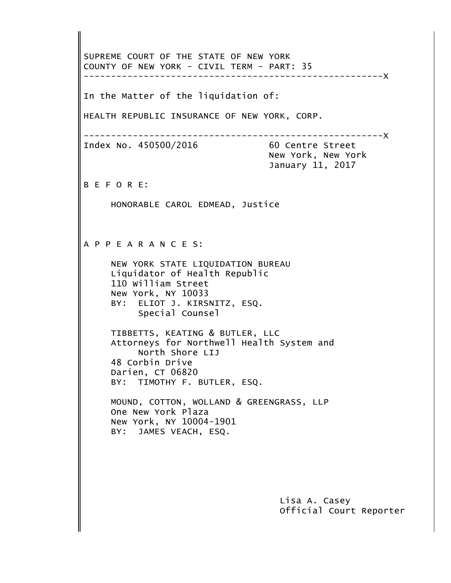Official Court Reporter Lisa A. Casey BY: JAMES VEACH, ESQ. New York, NY 10004-1901 One New York Plaza MOUND, COTTON, WOLLAND & GREENGRASS, LLP BY: TIMOTHY F. BUTLER, ESQ. Darien, CT 06820 48 Corbin Drive North Shore LIJ Attorneys for Northwell Health System and TIBBETTS, KEATING & BUTLER, LLC Special Counsel BY: ELIOT J. KIRSNITZ, ESQ. New York, NY 10033 110 William Street Liquidator of Health Republic NEW YORK STATE LIQUIDATION BUREAU A P P E A R A N C E S: HONORABLE CAROL EDMEAD, Justice B E F O R E: January 11, 2017 New York, New York Index No. 450500/2016 60 Centre Street -------------------------------------------------------X HEALTH REPUBLIC INSURANCE OF NEW YORK, CORP. In the Matter of the liquidation of: -------------------------------------------------------X COUNTY OF NEW YORK - CIVIL TERM - PART: 35 SUPREME COURT OF THE STATE OF NEW YORK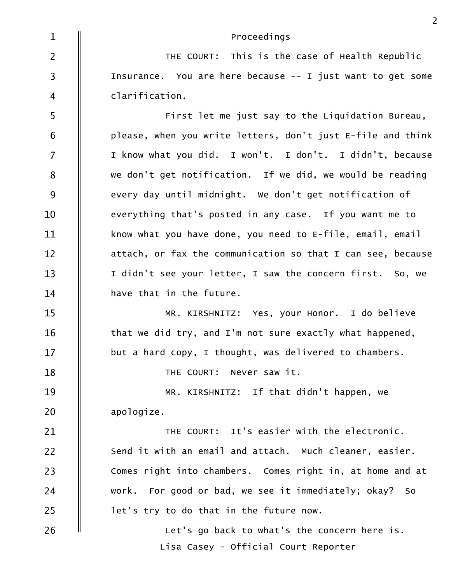Let's go back to what's the concern here is.  $\parallel$  let's try to do that in the future now. work. For good or bad, we see it immediately; okay? So  $\parallel$  Comes right into chambers. Comes right in, at home and at  $\parallel$  Send it with an email and attach. Much cleaner, easier.  $\parallel$   $\parallel$  THE COURT: It's easier with the electronic. apologize. MR. KIRSHNITZ: If that didn't happen, we 18  $\parallel$  THE COURT: Never saw it.  $\parallel$  but a hard copy, I thought, was delivered to chambers.  $\parallel$  that we did try, and I'm not sure exactly what happened, MR. KIRSHNITZ: Yes, your Honor. I do believe  $\parallel$  have that in the future.  $\parallel$  I didn't see your letter, I saw the concern first. So, we  $\parallel$  attach, or fax the communication so that I can see, because $\mid$ 11  $\parallel$  know what you have done, you need to E-file, email, email  $\parallel$  everything that's posted in any case. If you want me to  $9 \quad \parallel \quad$  every day until midnight. We don't get notification of  $8\qquad \parallel$  we don't get notification. If we did, we would be reading 7  $\parallel$  I know what you did. I won't. I don't. I didn't, because $\mid$  $\begin{array}{|l|} \hline 6 & \hspace{15pt} \rule{0pt}{14pt} \end{array}$  please, when you write letters, don't just E-file and think $\begin{array}{|l|} \hline \end{array}$  $\mathsf{S} \parallel \mathsf{First}$  let me just say to the Liquidation Bureau, clarification.  $\begin{array}{ccc} \mathsf{I} & \mathsf{I} & \mathsf{I} \end{array}$  is the surface. You are here because -- I just want to get some THE COURT: This is the case of Health Republic  $1 \parallel$ Proceedings

Lisa Casey - Official Court Reporter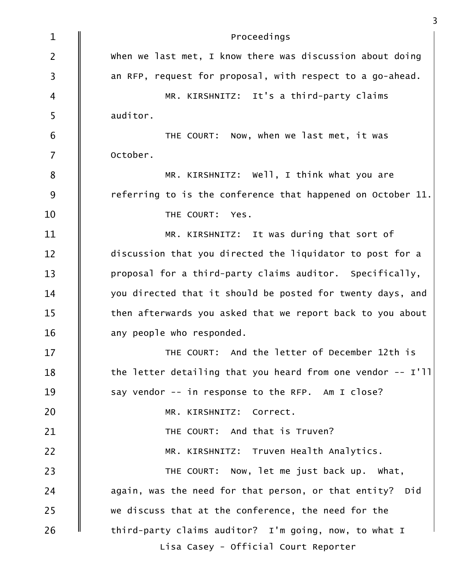| $\mathbf{1}$   | Proceedings                                                  |
|----------------|--------------------------------------------------------------|
| $\overline{2}$ | When we last met, I know there was discussion about doing    |
| $\overline{3}$ | an RFP, request for proposal, with respect to a go-ahead.    |
| 4              | MR. KIRSHNITZ: It's a third-party claims                     |
| 5              | auditor.                                                     |
| 6              | THE COURT: Now, when we last met, it was                     |
| $\overline{7}$ | October.                                                     |
| 8              | MR. KIRSHNITZ: Well, I think what you are                    |
| 9              | referring to is the conference that happened on October 11.  |
| 10             | THE COURT: Yes.                                              |
| 11             | MR. KIRSHNITZ: It was during that sort of                    |
| 12             | discussion that you directed the liquidator to post for a    |
| 13             | proposal for a third-party claims auditor. Specifically,     |
| 14             | you directed that it should be posted for twenty days, and   |
| 15             | then afterwards you asked that we report back to you about   |
| 16             | any people who responded.                                    |
| 17             | THE COURT: And the letter of December 12th is                |
| 18             | the letter detailing that you heard from one vendor $-$ I'll |
| 19             | say vendor -- in response to the RFP. Am I close?            |
| 20             | MR. KIRSHNITZ: Correct.                                      |
| 21             | THE COURT: And that is Truven?                               |
| 22             | MR. KIRSHNITZ: Truven Health Analytics.                      |
| 23             | THE COURT: Now, let me just back up. What,                   |
| 24             | again, was the need for that person, or that entity? Did     |
| 25             | we discuss that at the conference, the need for the          |
| 26             | third-party claims auditor? I'm going, now, to what I        |
|                | Lisa Casey - Official Court Reporter                         |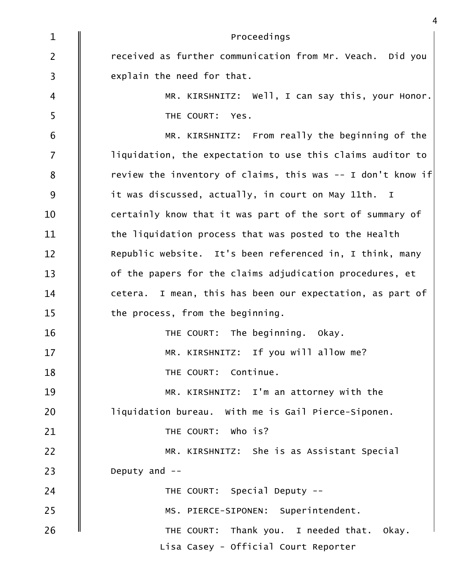| $\mathbf{1}$   | Proceedings                                                  |
|----------------|--------------------------------------------------------------|
| $\overline{2}$ | received as further communication from Mr. Veach. Did you    |
| $\mathsf{3}$   | explain the need for that.                                   |
| $\overline{4}$ | MR. KIRSHNITZ: Well, I can say this, your Honor.             |
| 5              | THE COURT: Yes.                                              |
| 6              | MR. KIRSHNITZ: From really the beginning of the              |
| $\overline{7}$ | liquidation, the expectation to use this claims auditor to   |
| 8              | review the inventory of claims, this was $-$ I don't know if |
| 9              | it was discussed, actually, in court on May 11th. I          |
| 10             | certainly know that it was part of the sort of summary of    |
| 11             | the liquidation process that was posted to the Health        |
| 12             | Republic website. It's been referenced in, I think, many     |
| 13             | of the papers for the claims adjudication procedures, et     |
| 14             | cetera. I mean, this has been our expectation, as part of    |
| 15             | the process, from the beginning.                             |
| 16             | THE COURT: The beginning. Okay.                              |
| 17             | MR. KIRSHNITZ: If you will allow me?                         |
| 18             | THE COURT: Continue.                                         |
| 19             | MR. KIRSHNITZ: I'm an attorney with the                      |
| 20             | liquidation bureau. With me is Gail Pierce-Siponen.          |
| 21             | THE COURT: Who is?                                           |
| 22             | MR. KIRSHNITZ: She is as Assistant Special                   |
| 23             | Deputy and $-$                                               |
| 24             | THE COURT: Special Deputy --                                 |
| 25             | MS. PIERCE-SIPONEN: Superintendent.                          |
| 26             | THE COURT: Thank you. I needed that. Okay.                   |
|                | Lisa Casey - Official Court Reporter                         |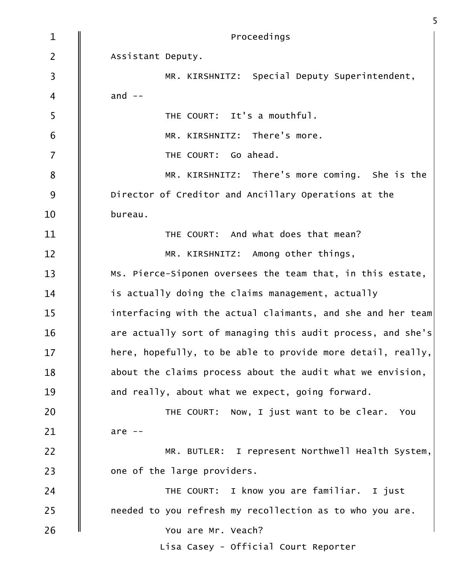| $\mathbf{1}$   | Proceedings                                                 |
|----------------|-------------------------------------------------------------|
| $\overline{2}$ | Assistant Deputy.                                           |
| $\mathsf{3}$   | MR. KIRSHNITZ: Special Deputy Superintendent,               |
| $\overline{4}$ | and $--$                                                    |
| 5              | THE COURT: It's a mouthful.                                 |
| 6              | MR. KIRSHNITZ: There's more.                                |
| $\overline{7}$ | THE COURT: Go ahead.                                        |
| $\bf 8$        | MR. KIRSHNITZ: There's more coming. She is the              |
| 9              | Director of Creditor and Ancillary Operations at the        |
| 10             | bureau.                                                     |
| 11             | THE COURT: And what does that mean?                         |
| 12             | MR. KIRSHNITZ: Among other things,                          |
| 13             | Ms. Pierce-Siponen oversees the team that, in this estate,  |
| 14             | is actually doing the claims management, actually           |
| 15             | interfacing with the actual claimants, and she and her team |
| 16             | are actually sort of managing this audit process, and she's |
| 17             | here, hopefully, to be able to provide more detail, really, |
| 18             | about the claims process about the audit what we envision,  |
| 19             | and really, about what we expect, going forward.            |
| 20             | THE COURT: Now, I just want to be clear. You                |
| 21             | are $--$                                                    |
| 22             | MR. BUTLER: I represent Northwell Health System,            |
| 23             | one of the large providers.                                 |
| 24             | THE COURT: I know you are familiar. I just                  |
| 25             | needed to you refresh my recollection as to who you are.    |
| 26             | You are Mr. Veach?                                          |
|                | Lisa Casey - Official Court Reporter                        |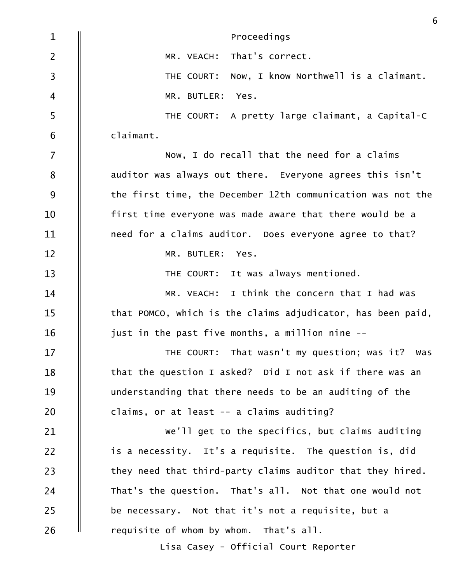| $\mathbf 1$             | Proceedings                                                 |
|-------------------------|-------------------------------------------------------------|
| $\overline{2}$          | That's correct.<br>MR. VEACH:                               |
| $\overline{\mathbf{3}}$ | Now, I know Northwell is a claimant.<br>THE COURT:          |
| $\overline{4}$          | MR. BUTLER: Yes.                                            |
| 5                       | THE COURT: A pretty large claimant, a Capital-C             |
| 6                       | claimant.                                                   |
| $\overline{7}$          | Now, I do recall that the need for a claims                 |
| 8                       | auditor was always out there. Everyone agrees this isn't    |
| 9                       | the first time, the December 12th communication was not the |
| 10                      | first time everyone was made aware that there would be a    |
| 11                      | need for a claims auditor. Does everyone agree to that?     |
| 12                      | MR. BUTLER: Yes.                                            |
| 13                      | THE COURT: It was always mentioned.                         |
| 14                      | MR. VEACH: I think the concern that I had was               |
| 15                      | that POMCO, which is the claims adjudicator, has been paid, |
| 16                      | just in the past five months, a million nine --             |
| 17                      | THE COURT: That wasn't my question; was it? Was             |
| 18                      | that the question I asked? Did I not ask if there was an    |
| 19                      | understanding that there needs to be an auditing of the     |
| 20                      | claims, or at least -- a claims auditing?                   |
| 21                      | We'll get to the specifics, but claims auditing             |
| 22                      | is a necessity. It's a requisite. The question is, did      |
| 23                      | they need that third-party claims auditor that they hired.  |
| 24                      | That's the question. That's all. Not that one would not     |
| 25                      | be necessary. Not that it's not a requisite, but a          |
| 26                      | requisite of whom by whom. That's all.                      |
|                         | Lisa Casey - Official Court Reporter                        |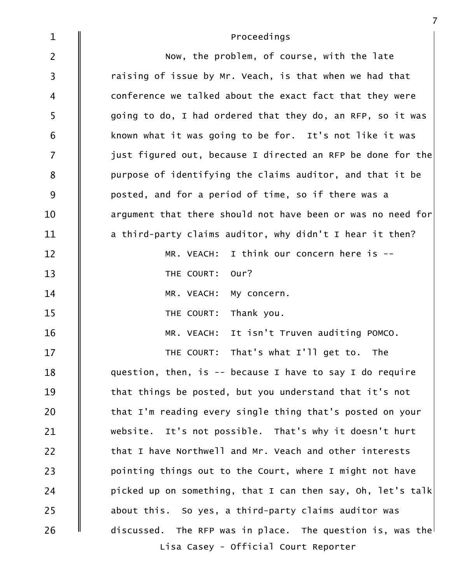| $\mathbf{1}$            | Proceedings                                                 |
|-------------------------|-------------------------------------------------------------|
| $\overline{2}$          | Now, the problem, of course, with the late                  |
| $\overline{\mathbf{3}}$ | raising of issue by Mr. Veach, is that when we had that     |
| 4                       | conference we talked about the exact fact that they were    |
| 5                       | going to do, I had ordered that they do, an RFP, so it was  |
| $\sqrt{6}$              | known what it was going to be for. It's not like it was     |
| $\overline{7}$          | just figured out, because I directed an RFP be done for the |
| 8                       | purpose of identifying the claims auditor, and that it be   |
| 9                       | posted, and for a period of time, so if there was a         |
| 10                      | argument that there should not have been or was no need for |
| 11                      | a third-party claims auditor, why didn't I hear it then?    |
| $12 \overline{ }$       | I think our concern here is --<br>MR. VEACH:                |
| 13                      | Our?<br>THE COURT:                                          |
| 14                      | MR. VEACH:<br>My concern.                                   |
| 15                      | Thank you.<br>THE COURT:                                    |
| 16                      | It isn't Truven auditing POMCO.<br>MR. VEACH:               |
| 17                      | That's what I'll get to.<br>The<br>THE COURT:               |
| 18                      | question, then, is $-$ because I have to say I do require   |
| 19                      | that things be posted, but you understand that it's not     |
| 20                      | that I'm reading every single thing that's posted on your   |
| 21                      | website. It's not possible. That's why it doesn't hurt      |
| 22                      | that I have Northwell and Mr. Veach and other interests     |
| 23                      | pointing things out to the Court, where I might not have    |
| 24                      | picked up on something, that I can then say, Oh, let's talk |
| 25                      | about this. So yes, a third-party claims auditor was        |
| 26                      | discussed. The RFP was in place. The question is, was the   |
|                         | Lisa Casey - Official Court Reporter                        |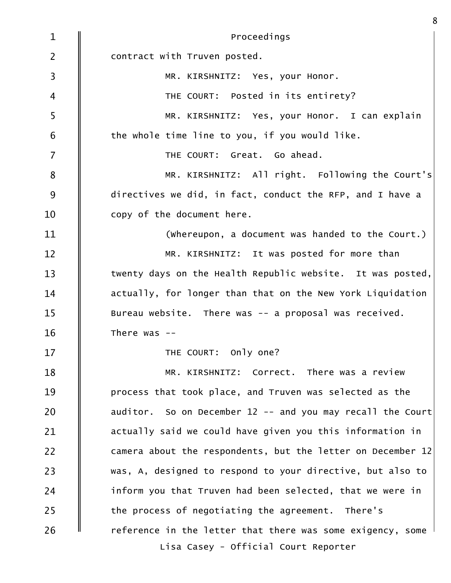| $\mathbf{1}$            | Proceedings                                                 |
|-------------------------|-------------------------------------------------------------|
| $\overline{2}$          | contract with Truven posted.                                |
| $\overline{\mathbf{3}}$ | MR. KIRSHNITZ: Yes, your Honor.                             |
| $\overline{4}$          | THE COURT: Posted in its entirety?                          |
| 5                       | MR. KIRSHNITZ: Yes, your Honor. I can explain               |
| 6                       | the whole time line to you, if you would like.              |
| $\overline{7}$          | THE COURT: Great. Go ahead.                                 |
| $\bf 8$                 | MR. KIRSHNITZ: All right. Following the Court's             |
| $9$                     | directives we did, in fact, conduct the RFP, and I have a   |
| 10                      | copy of the document here.                                  |
| 11                      | (whereupon, a document was handed to the Court.)            |
| 12                      | MR. KIRSHNITZ: It was posted for more than                  |
| 13                      | twenty days on the Health Republic website. It was posted,  |
| 14                      | actually, for longer than that on the New York Liquidation  |
| 15                      | Bureau website. There was -- a proposal was received.       |
| 16                      | There was $-$                                               |
| 17                      | THE COURT: Only one?                                        |
| 18                      | MR. KIRSHNITZ: Correct. There was a review                  |
| 19                      | process that took place, and Truven was selected as the     |
| 20                      | auditor. So on December 12 -- and you may recall the Court  |
| 21                      | actually said we could have given you this information in   |
| 22                      | camera about the respondents, but the letter on December 12 |
| 23                      | was, A, designed to respond to your directive, but also to  |
| 24                      | inform you that Truven had been selected, that we were in   |
| 25                      | the process of negotiating the agreement. There's           |
| 26                      | reference in the letter that there was some exigency, some  |
|                         | Lisa Casey - Official Court Reporter                        |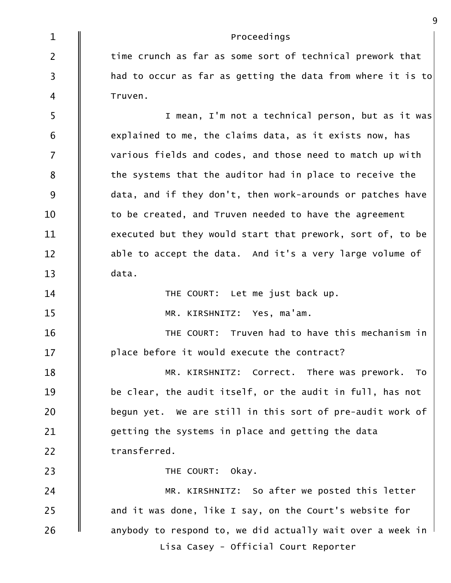| $\mathbf{1}$   | Proceedings                                                 |
|----------------|-------------------------------------------------------------|
| $\overline{2}$ | time crunch as far as some sort of technical prework that   |
| $\overline{3}$ | had to occur as far as getting the data from where it is to |
| $\overline{4}$ | Truven.                                                     |
| 5              | I mean, I'm not a technical person, but as it was           |
| 6              | explained to me, the claims data, as it exists now, has     |
| $\overline{7}$ | various fields and codes, and those need to match up with   |
| 8              | the systems that the auditor had in place to receive the    |
| 9              | data, and if they don't, then work-arounds or patches have  |
| 10             | to be created, and Truven needed to have the agreement      |
| 11             | executed but they would start that prework, sort of, to be  |
| 12             | able to accept the data. And it's a very large volume of    |
| 13             | data.                                                       |
| 14             | THE COURT: Let me just back up.                             |
| 15             | MR. KIRSHNITZ: Yes, ma'am.                                  |
| 16             | THE COURT: Truven had to have this mechanism in             |
| 17             | place before it would execute the contract?                 |
| 18             | MR. KIRSHNITZ: Correct. There was prework. To               |
| 19             | be clear, the audit itself, or the audit in full, has not   |
| 20             | begun yet. We are still in this sort of pre-audit work of   |
| 21             | getting the systems in place and getting the data           |
| 22             | transferred.                                                |
| 23             | THE COURT: Okay.                                            |
| 24             | MR. KIRSHNITZ: So after we posted this letter               |
| 25             | and it was done, like I say, on the Court's website for     |
| 26             | anybody to respond to, we did actually wait over a week in  |
|                | Lisa Casey - Official Court Reporter                        |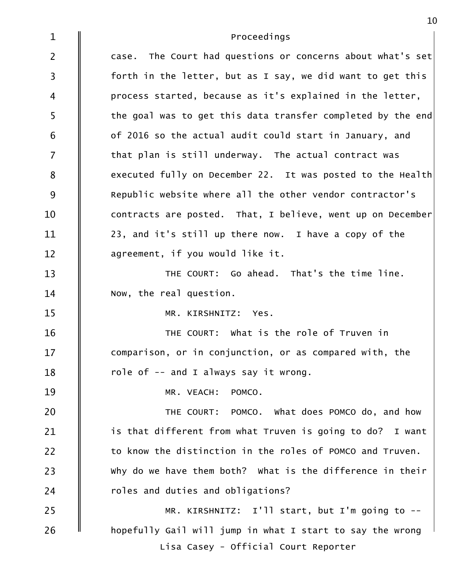| $\mathbf{1}$            | Proceedings                                                 |
|-------------------------|-------------------------------------------------------------|
| $\overline{2}$          | case. The Court had questions or concerns about what's set  |
| $\overline{\mathbf{3}}$ | forth in the letter, but as I say, we did want to get this  |
| $\overline{4}$          | process started, because as it's explained in the letter,   |
| 5                       | the goal was to get this data transfer completed by the end |
| $6\,$                   | of 2016 so the actual audit could start in January, and     |
| $\overline{7}$          | that plan is still underway. The actual contract was        |
| 8                       | executed fully on December 22. It was posted to the Health  |
| 9                       | Republic website where all the other vendor contractor's    |
| 10                      | contracts are posted. That, I believe, went up on December  |
| 11                      | 23, and it's still up there now. I have a copy of the       |
| $12 \overline{ }$       | agreement, if you would like it.                            |
| 13                      | THE COURT: Go ahead. That's the time line.                  |
| 14                      | Now, the real question.                                     |
| 15                      | MR. KIRSHNITZ: Yes.                                         |
| 16                      | THE COURT: What is the role of Truven in                    |
| 17                      | comparison, or in conjunction, or as compared with, the     |
| 18                      | role of -- and I always say it wrong.                       |
| 19                      | MR. VEACH: POMCO.                                           |
| 20                      | THE COURT: POMCO. What does POMCO do, and how               |
| 21                      | is that different from what Truven is going to do? I want   |
| 22                      | to know the distinction in the roles of POMCO and Truven.   |
| 23                      | why do we have them both? What is the difference in their   |
| 24                      | roles and duties and obligations?                           |
| 25                      | MR. KIRSHNITZ: I'll start, but I'm going to --              |
| 26                      | hopefully Gail will jump in what I start to say the wrong   |
|                         | Lisa Casey - Official Court Reporter                        |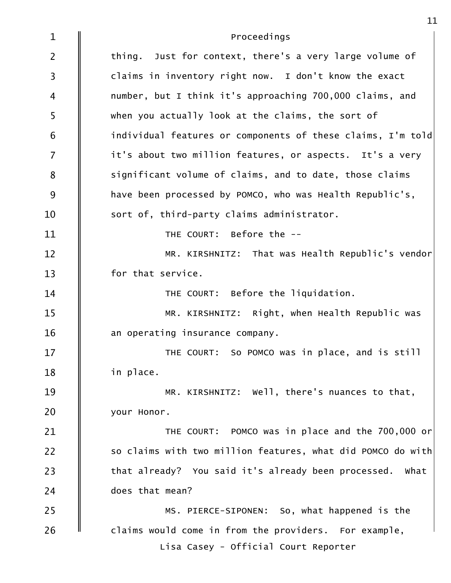| $\mathbf{1}$   | Proceedings                                                 |
|----------------|-------------------------------------------------------------|
| $\overline{2}$ | thing. Just for context, there's a very large volume of     |
| $\mathsf{3}$   | claims in inventory right now. I don't know the exact       |
| 4              | number, but I think it's approaching 700,000 claims, and    |
| 5              | when you actually look at the claims, the sort of           |
| 6              | individual features or components of these claims, I'm told |
| $\overline{7}$ | it's about two million features, or aspects. It's a very    |
| 8              | significant volume of claims, and to date, those claims     |
| 9              | have been processed by POMCO, who was Health Republic's,    |
| 10             | sort of, third-party claims administrator.                  |
| 11             | THE COURT: Before the --                                    |
| 12             | MR. KIRSHNITZ: That was Health Republic's vendor            |
| 13             | for that service.                                           |
| 14             | THE COURT: Before the liquidation.                          |
| 15             | MR. KIRSHNITZ: Right, when Health Republic was              |
| 16             | an operating insurance company.                             |
| 17             | THE COURT: So POMCO was in place, and is still              |
| 18             | in place.                                                   |
| 19             | MR. KIRSHNITZ: Well, there's nuances to that,               |
| 20             | your Honor.                                                 |
| 21             | THE COURT: POMCO was in place and the 700,000 or            |
| 22             | so claims with two million features, what did POMCO do with |
| 23             | that already? You said it's already been processed. What    |
| 24             | does that mean?                                             |
| 25             | MS. PIERCE-SIPONEN: So, what happened is the                |
| 26             | claims would come in from the providers. For example,       |
|                | Lisa Casey - Official Court Reporter                        |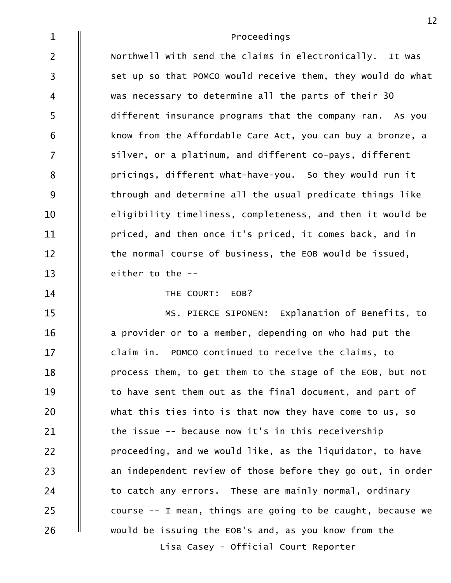| $\mathbf{1}$   | Proceedings                                                 |
|----------------|-------------------------------------------------------------|
| $\overline{2}$ | Northwell with send the claims in electronically. It was    |
| $\mathsf{3}$   | set up so that POMCO would receive them, they would do what |
| 4              | was necessary to determine all the parts of their 30        |
| 5              | different insurance programs that the company ran. As you   |
| 6              | know from the Affordable Care Act, you can buy a bronze, a  |
| $\overline{7}$ | silver, or a platinum, and different co-pays, different     |
| 8              | pricings, different what-have-you. So they would run it     |
| 9              | through and determine all the usual predicate things like   |
| 10             | eligibility timeliness, completeness, and then it would be  |
| 11             | priced, and then once it's priced, it comes back, and in    |
| 12             | the normal course of business, the EOB would be issued,     |
| 13             | either to the --                                            |
| 14             | THE COURT: EOB?                                             |
| 15             | MS. PIERCE SIPONEN: Explanation of Benefits, to             |
| 16             | a provider or to a member, depending on who had put the     |
| 17             | claim in. POMCO continued to receive the claims, to         |
| 18             | process them, to get them to the stage of the EOB, but not  |
| 19             | to have sent them out as the final document, and part of    |
| 20             | what this ties into is that now they have come to us, so    |
| 21             | the issue -- because now it's in this receivership          |
| 22             | proceeding, and we would like, as the liquidator, to have   |
| 23             | an independent review of those before they go out, in order |
| 24             | to catch any errors. These are mainly normal, ordinary      |
| 25             | course -- I mean, things are going to be caught, because we |
| 26             | would be issuing the EOB's and, as you know from the        |
|                | Lisa Casey - Official Court Reporter                        |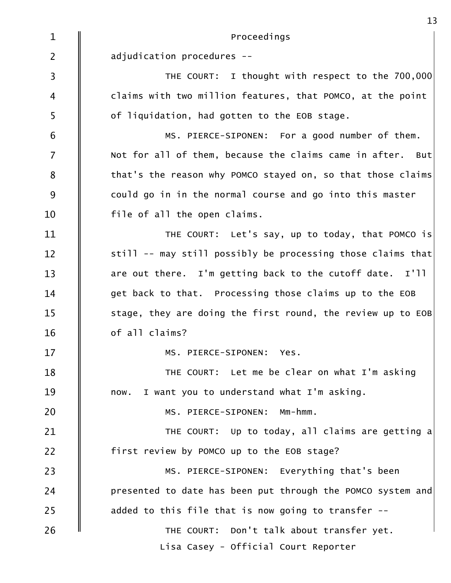|                         | 13                                                          |
|-------------------------|-------------------------------------------------------------|
| $\mathbf{1}$            | Proceedings                                                 |
| $\overline{2}$          | adjudication procedures --                                  |
| $\overline{\mathbf{3}}$ | THE COURT: I thought with respect to the 700,000            |
| $\overline{4}$          | claims with two million features, that POMCO, at the point  |
| 5                       | of liquidation, had gotten to the EOB stage.                |
| 6                       | MS. PIERCE-SIPONEN: For a good number of them.              |
| $\overline{7}$          | Not for all of them, because the claims came in after. But  |
| $\bf 8$                 | that's the reason why POMCO stayed on, so that those claims |
| 9                       | could go in in the normal course and go into this master    |
| 10                      | file of all the open claims.                                |
| 11                      | THE COURT: Let's say, up to today, that POMCO is            |
| 12                      | still -- may still possibly be processing those claims that |
| 13                      | are out there. I'm getting back to the cutoff date. I'll    |
| 14                      | get back to that. Processing those claims up to the EOB     |
| 15                      | stage, they are doing the first round, the review up to EOB |
| 16                      | of all claims?                                              |
| 17                      | MS. PIERCE-SIPONEN: Yes.                                    |
| 18                      | THE COURT: Let me be clear on what I'm asking               |
| 19                      | now. I want you to understand what I'm asking.              |
| 20                      | MS. PIERCE-SIPONEN: Mm-hmm.                                 |
| 21                      | THE COURT: Up to today, all claims are getting a            |
| 22                      | first review by POMCO up to the EOB stage?                  |
| 23                      | MS. PIERCE-SIPONEN: Everything that's been                  |
| 24                      | presented to date has been put through the POMCO system and |
| 25                      | added to this file that is now going to transfer --         |
| 26                      | THE COURT: Don't talk about transfer yet.                   |
|                         | Lisa Casey - Official Court Reporter                        |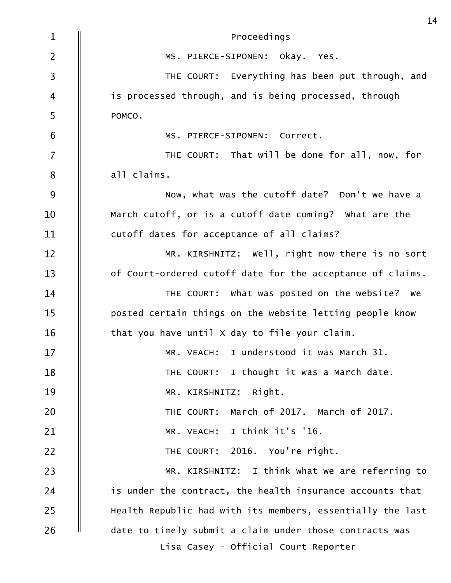| $\mathbf{1}$   | Proceedings                                                |
|----------------|------------------------------------------------------------|
| $\overline{2}$ | MS. PIERCE-SIPONEN: Okay. Yes.                             |
| 3              | THE COURT: Everything has been put through, and            |
| 4              | is processed through, and is being processed, through      |
| 5              | POMCO.                                                     |
| 6              | MS. PIERCE-SIPONEN: Correct.                               |
| $\overline{7}$ | THE COURT: That will be done for all, now, for             |
| 8              | all claims.                                                |
| 9              | Now, what was the cutoff date? Don't we have a             |
| 10             | March cutoff, or is a cutoff date coming? What are the     |
| 11             | cutoff dates for acceptance of all claims?                 |
| 12             | MR. KIRSHNITZ: Well, right now there is no sort            |
| 13             | of Court-ordered cutoff date for the acceptance of claims. |
| 14             | THE COURT: What was posted on the website? We              |
| 15             | posted certain things on the website letting people know   |
| 16             | that you have until X day to file your claim.              |
| 17             | MR. VEACH: I understood it was March 31.                   |
| 18             | THE COURT: I thought it was a March date.                  |
| 19             | MR. KIRSHNITZ: Right.                                      |
| 20             | March of 2017. March of 2017.<br>THE COURT:                |
| 21             | MR. VEACH: I think it's '16.                               |
| 22             | THE COURT: 2016. You're right.                             |
| 23             | MR. KIRSHNITZ: I think what we are referring to            |
| 24             | is under the contract, the health insurance accounts that  |
| 25             | Health Republic had with its members, essentially the last |
| 26             | date to timely submit a claim under those contracts was    |
|                | Lisa Casey - Official Court Reporter                       |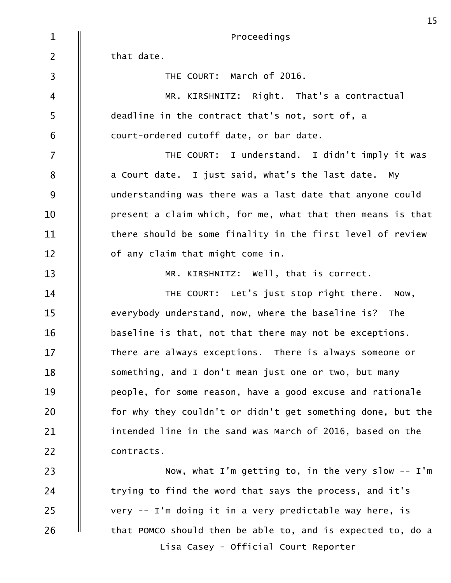| $\mathbf{1}$      | Proceedings                                                 |
|-------------------|-------------------------------------------------------------|
| $\overline{2}$    | that date.                                                  |
| $\overline{3}$    | THE COURT: March of 2016.                                   |
| $\overline{4}$    | MR. KIRSHNITZ: Right. That's a contractual                  |
| 5                 | deadline in the contract that's not, sort of, a             |
| 6                 | court-ordered cutoff date, or bar date.                     |
| $\overline{7}$    | THE COURT: I understand. I didn't imply it was              |
| $\bf 8$           | a Court date. I just said, what's the last date. My         |
| 9                 | understanding was there was a last date that anyone could   |
| 10                | present a claim which, for me, what that then means is that |
| 11                | there should be some finality in the first level of review  |
| $12 \overline{ }$ | of any claim that might come in.                            |
| 13                | MR. KIRSHNITZ: Well, that is correct.                       |
| 14                | THE COURT: Let's just stop right there. Now,                |
| 15                | everybody understand, now, where the baseline is? The       |
| 16                | baseline is that, not that there may not be exceptions.     |
| 17                | There are always exceptions. There is always someone or     |
| 18                | something, and I don't mean just one or two, but many       |
| 19                | people, for some reason, have a good excuse and rationale   |
| 20                | for why they couldn't or didn't get something done, but the |
| 21                | intended line in the sand was March of 2016, based on the   |
| 22                | contracts.                                                  |
| 23                | Now, what I'm getting to, in the very slow $--$ I'm         |
| 24                | trying to find the word that says the process, and it's     |
| 25                | very -- I'm doing it in a very predictable way here, is     |
| 26                | that POMCO should then be able to, and is expected to, do a |
|                   | Lisa Casey - Official Court Reporter                        |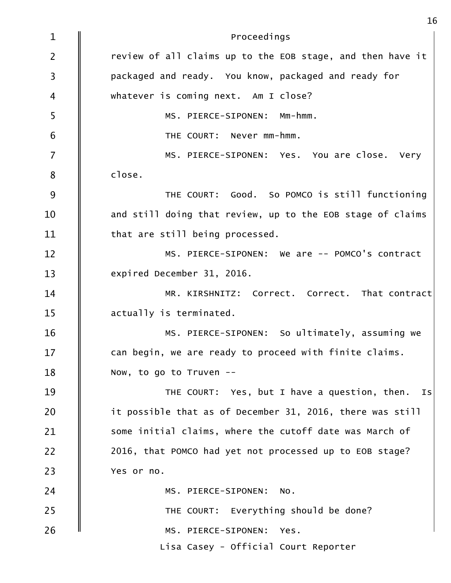| $\mathbf{1}$            | Proceedings                                                |
|-------------------------|------------------------------------------------------------|
| $\overline{2}$          | review of all claims up to the EOB stage, and then have it |
| $\overline{\mathbf{3}}$ | packaged and ready. You know, packaged and ready for       |
| $\overline{\mathbf{4}}$ | whatever is coming next. Am I close?                       |
| 5                       | MS. PIERCE-SIPONEN: Mm-hmm.                                |
| 6                       | THE COURT: Never mm-hmm.                                   |
| $\overline{7}$          | MS. PIERCE-SIPONEN: Yes. You are close. Very               |
| $\bf 8$                 | close.                                                     |
| $9$                     | THE COURT: Good. So POMCO is still functioning             |
| 10                      | and still doing that review, up to the EOB stage of claims |
| 11                      | that are still being processed.                            |
| 12                      | MS. PIERCE-SIPONEN: We are -- POMCO's contract             |
| 13                      | expired December 31, 2016.                                 |
| 14                      | MR. KIRSHNITZ: Correct. Correct. That contract             |
| 15                      | actually is terminated.                                    |
| 16                      | MS. PIERCE-SIPONEN: So ultimately, assuming we             |
| 17                      | can begin, we are ready to proceed with finite claims.     |
| 18                      | Now, to go to Truven --                                    |
| 19                      | THE COURT: Yes, but I have a question, then.<br>IS         |
| 20                      | it possible that as of December 31, 2016, there was still  |
| 21                      | some initial claims, where the cutoff date was March of    |
| 22                      | 2016, that POMCO had yet not processed up to EOB stage?    |
| 23                      | Yes or no.                                                 |
| 24                      | MS. PIERCE-SIPONEN: NO.                                    |
| 25                      | THE COURT: Everything should be done?                      |
| 26                      | MS. PIERCE-SIPONEN:<br>Yes.                                |
|                         | Lisa Casey - Official Court Reporter                       |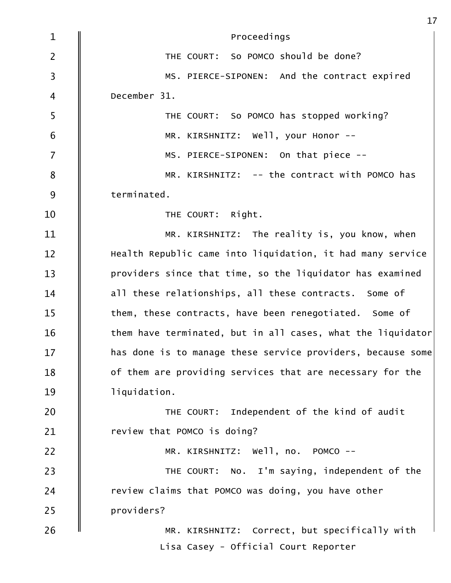| $\mathbf{1}$            | Proceedings                                                 |
|-------------------------|-------------------------------------------------------------|
| $\overline{2}$          | THE COURT: So POMCO should be done?                         |
| $\overline{\mathbf{3}}$ | MS. PIERCE-SIPONEN: And the contract expired                |
| $\overline{\mathbf{4}}$ | December 31.                                                |
| 5                       | THE COURT: So POMCO has stopped working?                    |
| 6                       | MR. KIRSHNITZ: Well, your Honor --                          |
| $\overline{7}$          | MS. PIERCE-SIPONEN: On that piece --                        |
| 8                       | MR. KIRSHNITZ: -- the contract with POMCO has               |
| 9                       | terminated.                                                 |
| 10                      | THE COURT: Right.                                           |
| 11                      | MR. KIRSHNITZ: The reality is, you know, when               |
| 12                      | Health Republic came into liquidation, it had many service  |
| 13                      | providers since that time, so the liquidator has examined   |
| 14                      | all these relationships, all these contracts. Some of       |
| 15                      | them, these contracts, have been renegotiated. Some of      |
| 16                      | them have terminated, but in all cases, what the liquidator |
| 17                      | has done is to manage these service providers, because some |
| 18                      | of them are providing services that are necessary for the   |
| 19                      | liquidation.                                                |
| 20                      | THE COURT: Independent of the kind of audit                 |
| 21                      | review that POMCO is doing?                                 |
| 22                      | MR. KIRSHNITZ: Well, no. POMCO --                           |
| 23                      | THE COURT: No. I'm saying, independent of the               |
| 24                      | review claims that POMCO was doing, you have other          |
| 25                      | providers?                                                  |
| 26                      | MR. KIRSHNITZ: Correct, but specifically with               |
|                         | Lisa Casey - Official Court Reporter                        |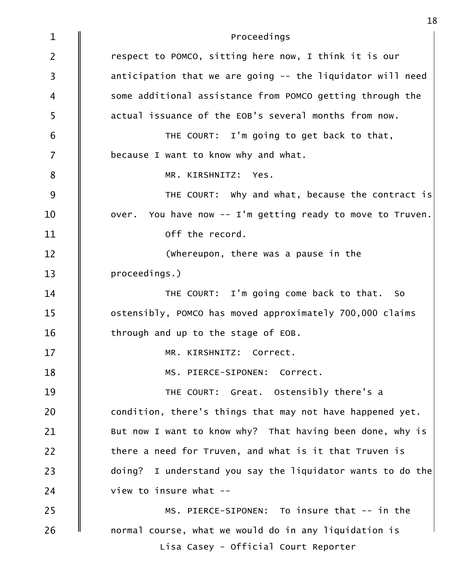| $\mathbf{1}$   | Proceedings                                                |
|----------------|------------------------------------------------------------|
| $\overline{2}$ | respect to POMCO, sitting here now, I think it is our      |
| 3              | anticipation that we are going -- the liquidator will need |
| 4              | some additional assistance from POMCO getting through the  |
| 5              | actual issuance of the EOB's several months from now.      |
| 6              | THE COURT: I'm going to get back to that,                  |
| $\overline{7}$ | because I want to know why and what.                       |
| 8              | MR. KIRSHNITZ: Yes.                                        |
| 9              | THE COURT: Why and what, because the contract is           |
| 10             | over. You have now -- I'm getting ready to move to Truven. |
| 11             | off the record.                                            |
| 12             | (whereupon, there was a pause in the                       |
| 13             | proceedings.)                                              |
| 14             | THE COURT: I'm going come back to that. So                 |
| 15             | ostensibly, POMCO has moved approximately 700,000 claims   |
| 16             | through and up to the stage of EOB.                        |
| 17             | MR. KIRSHNITZ: Correct.                                    |
| 18             | MS. PIERCE-SIPONEN: Correct.                               |
| 19             | THE COURT: Great. Ostensibly there's a                     |
| 20             | condition, there's things that may not have happened yet.  |
| 21             | But now I want to know why? That having been done, why is  |
| 22             | there a need for Truven, and what is it that Truven is     |
| 23             | doing? I understand you say the liquidator wants to do the |
| 24             | view to insure what --                                     |
| 25             | MS. PIERCE-SIPONEN: To insure that -- in the               |
| 26             | normal course, what we would do in any liquidation is      |
|                | Lisa Casey - Official Court Reporter                       |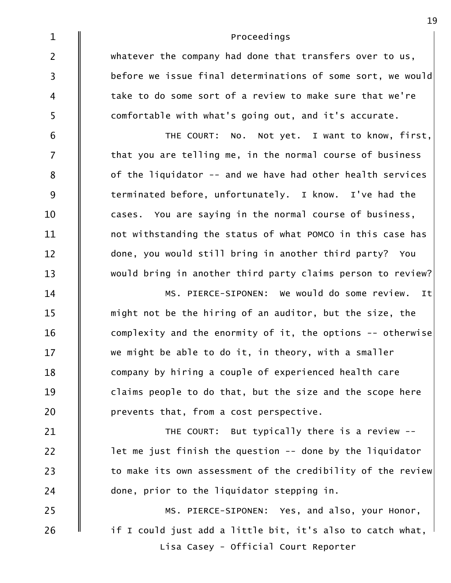| $\mathbf{1}$            | Proceedings                                                 |
|-------------------------|-------------------------------------------------------------|
| $\overline{2}$          | whatever the company had done that transfers over to us,    |
| $\overline{\mathbf{3}}$ | before we issue final determinations of some sort, we would |
| 4                       | take to do some sort of a review to make sure that we're    |
| 5                       | comfortable with what's going out, and it's accurate.       |
| $\sqrt{6}$              | No. Not yet. I want to know, first,<br>THE COURT:           |
| $\overline{7}$          | that you are telling me, in the normal course of business   |
| 8                       | of the liquidator -- and we have had other health services  |
| 9                       | terminated before, unfortunately. I know. I've had the      |
| 10                      | cases. You are saying in the normal course of business,     |
| 11                      | not withstanding the status of what POMCO in this case has  |
| 12                      | done, you would still bring in another third party? You     |
| 13                      | would bring in another third party claims person to review? |
| 14                      | MS. PIERCE-SIPONEN: We would do some review. It             |
| 15                      | might not be the hiring of an auditor, but the size, the    |
| 16                      | complexity and the enormity of it, the options -- otherwise |
| 17                      | we might be able to do it, in theory, with a smaller        |
| 18                      | company by hiring a couple of experienced health care       |
| 19                      | claims people to do that, but the size and the scope here   |
| 20                      | prevents that, from a cost perspective.                     |
| 21                      | THE COURT: But typically there is a review --               |
| 22                      | let me just finish the question -- done by the liquidator   |
| 23                      | to make its own assessment of the credibility of the review |
| 24                      | done, prior to the liquidator stepping in.                  |
| 25                      | MS. PIERCE-SIPONEN: Yes, and also, your Honor,              |
| 26                      | if I could just add a little bit, it's also to catch what,  |
|                         | Lisa Casey - Official Court Reporter                        |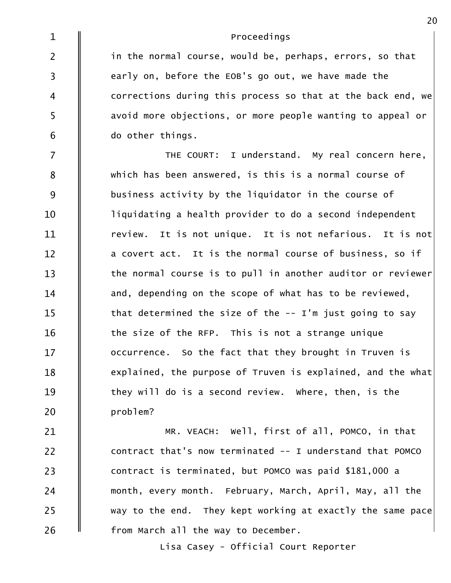| $\mathbf{1}$            | Proceedings                                                 |
|-------------------------|-------------------------------------------------------------|
| $\overline{2}$          | in the normal course, would be, perhaps, errors, so that    |
| $\overline{\mathbf{3}}$ | early on, before the EOB's go out, we have made the         |
| $\overline{4}$          | corrections during this process so that at the back end, we |
| 5                       | avoid more objections, or more people wanting to appeal or  |
| 6                       | do other things.                                            |
| $\overline{7}$          | THE COURT: I understand. My real concern here,              |
| 8                       | which has been answered, is this is a normal course of      |
| 9                       | business activity by the liquidator in the course of        |
| 10                      | liquidating a health provider to do a second independent    |
| 11                      | review. It is not unique. It is not nefarious. It is not    |
| 12                      | a covert act. It is the normal course of business, so if    |
| 13                      | the normal course is to pull in another auditor or reviewer |
| 14                      | and, depending on the scope of what has to be reviewed,     |
| 15                      | that determined the size of the -- I'm just going to say    |
| 16                      | the size of the RFP. This is not a strange unique           |
| 17                      | occurrence. So the fact that they brought in Truven is      |
| 18                      | explained, the purpose of Truven is explained, and the what |
| 19                      | they will do is a second review. Where, then, is the        |
| 20                      | problem?                                                    |
| 21                      | Well, first of all, POMCO, in that<br>MR. VEACH:            |

26  $\parallel$  from March all the way to December.  $25$   $\parallel$  way to the end. They kept working at exactly the same pace  $\mid$ month, every month. February, March, April, May, all the 24 contract is terminated, but POMCO was paid \$181,000 a 23  $22$   $\parallel$  contract that's now terminated -- I understand that POMCO

Lisa Casey - Official Court Reporter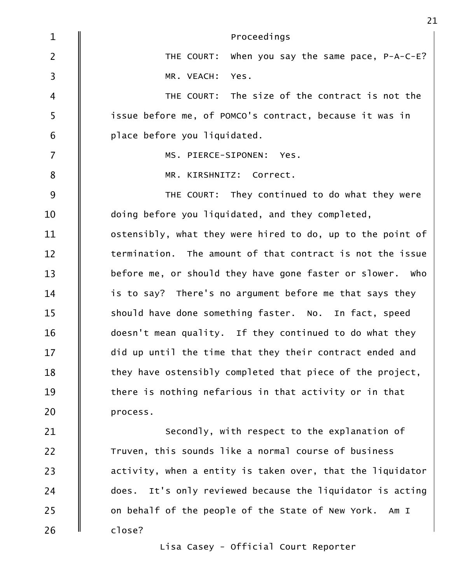| $\mathbf{1}$            | Proceedings                                                  |
|-------------------------|--------------------------------------------------------------|
| $\overline{2}$          | THE COURT: When you say the same pace, $P-A-C-E$ ?           |
| $\overline{\mathbf{3}}$ | MR. VEACH:<br>Yes.                                           |
| $\overline{4}$          | THE COURT: The size of the contract is not the               |
| 5                       | issue before me, of POMCO's contract, because it was in      |
| 6                       | place before you liquidated.                                 |
| $\overline{7}$          | MS. PIERCE-SIPONEN: Yes.                                     |
| $\bf 8$                 | MR. KIRSHNITZ: Correct.                                      |
| 9                       | THE COURT: They continued to do what they were               |
| 10                      | doing before you liquidated, and they completed,             |
| 11                      | ostensibly, what they were hired to do, up to the point of   |
| 12                      | termination. The amount of that contract is not the issue    |
| 13                      | before me, or should they have gone faster or slower. Who    |
| 14                      | is to say? There's no argument before me that says they      |
| 15                      | should have done something faster. No. In fact, speed        |
| 16                      | doesn't mean quality. If they continued to do what they      |
| 17                      | did up until the time that they their contract ended and     |
| 18                      | they have ostensibly completed that piece of the project,    |
| 19                      | there is nothing nefarious in that activity or in that       |
| 20                      | process.                                                     |
| 21                      | Secondly, with respect to the explanation of                 |
| 22                      | Truven, this sounds like a normal course of business         |
| 23                      | activity, when a entity is taken over, that the liquidator   |
| 24                      | It's only reviewed because the liquidator is acting<br>does. |
| 25                      | on behalf of the people of the State of New York. Am I       |
| 26                      | close?                                                       |

Lisa Casey - Official Court Reporter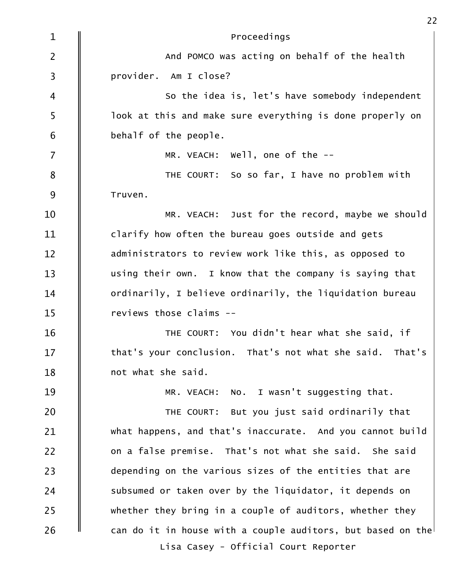| $\mathbf{1}$   | Proceedings                                                 |
|----------------|-------------------------------------------------------------|
| $\overline{2}$ | And POMCO was acting on behalf of the health                |
| $\mathsf{3}$   | provider. Am I close?                                       |
| $\overline{4}$ | So the idea is, let's have somebody independent             |
| 5              | look at this and make sure everything is done properly on   |
| 6              | behalf of the people.                                       |
| $\overline{7}$ | MR. VEACH: $W$ ell, one of the $-$ -                        |
| $\bf 8$        | THE COURT: So so far, I have no problem with                |
| 9              | Truven.                                                     |
| 10             | MR. VEACH: Just for the record, maybe we should             |
| 11             | clarify how often the bureau goes outside and gets          |
| 12             | administrators to review work like this, as opposed to      |
| 13             | using their own. I know that the company is saying that     |
| 14             | ordinarily, I believe ordinarily, the liquidation bureau    |
| 15             | reviews those claims --                                     |
| 16             | THE COURT: You didn't hear what she said, if                |
| 17             | that's your conclusion. That's not what she said. That's    |
| 18             | not what she said.                                          |
| 19             | No. I wasn't suggesting that.<br>MR. VEACH:                 |
| 20             | THE COURT: But you just said ordinarily that                |
| 21             | what happens, and that's inaccurate. And you cannot build   |
| 22             | on a false premise. That's not what she said. She said      |
| 23             | depending on the various sizes of the entities that are     |
| 24             | subsumed or taken over by the liquidator, it depends on     |
| 25             | whether they bring in a couple of auditors, whether they    |
| 26             | can do it in house with a couple auditors, but based on the |
|                | Lisa Casey - Official Court Reporter                        |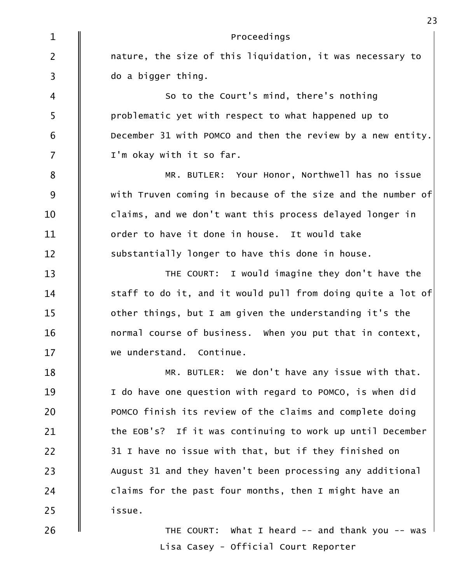| $\mathbf{1}$   | Proceedings                                                 |
|----------------|-------------------------------------------------------------|
| $\overline{2}$ | nature, the size of this liquidation, it was necessary to   |
| $\mathsf{3}$   | do a bigger thing.                                          |
| $\overline{4}$ | So to the Court's mind, there's nothing                     |
| 5              | problematic yet with respect to what happened up to         |
| 6              | December 31 with POMCO and then the review by a new entity. |
| $\overline{7}$ | I'm okay with it so far.                                    |
| 8              | MR. BUTLER: Your Honor, Northwell has no issue              |
| 9              | with Truven coming in because of the size and the number of |
| 10             | claims, and we don't want this process delayed longer in    |
| 11             | order to have it done in house. It would take               |
| 12             | substantially longer to have this done in house.            |
| 13             | THE COURT: I would imagine they don't have the              |
| 14             | staff to do it, and it would pull from doing quite a lot of |
| 15             | other things, but I am given the understanding it's the     |
| 16             | normal course of business. When you put that in context,    |
| 17             | we understand. Continue.                                    |
| 18             | MR. BUTLER: We don't have any issue with that.              |
| 19             | I do have one question with regard to POMCO, is when did    |
| 20             | POMCO finish its review of the claims and complete doing    |
| 21             | the EOB's? If it was continuing to work up until December   |
| 22             | 31 I have no issue with that, but if they finished on       |
| 23             | August 31 and they haven't been processing any additional   |
| 24             | claims for the past four months, then I might have an       |
| 25             | issue.                                                      |
| 26             | THE COURT: What I heard -- and thank you -- was             |

Lisa Casey - Official Court Reporter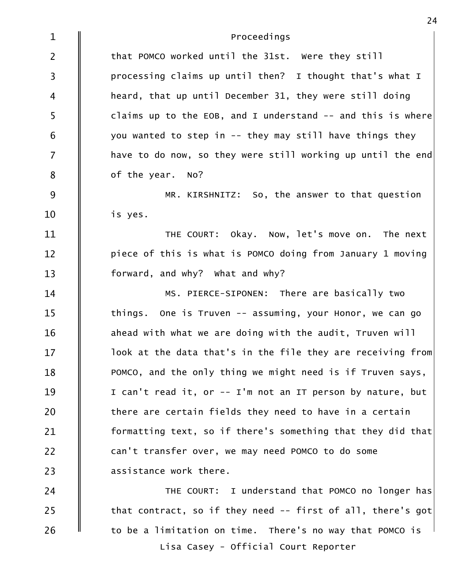| $\mathbf{1}$   | Proceedings                                                  |
|----------------|--------------------------------------------------------------|
| $\overline{2}$ | that POMCO worked until the 31st. Were they still            |
| $\mathsf{3}$   | processing claims up until then? I thought that's what I     |
| 4              | heard, that up until December 31, they were still doing      |
| 5              | claims up to the EOB, and I understand $-$ and this is where |
| 6              | you wanted to step in -- they may still have things they     |
| $\overline{7}$ | have to do now, so they were still working up until the end  |
| 8              | of the year. No?                                             |
| 9              | MR. KIRSHNITZ: So, the answer to that question               |
| 10             | is yes.                                                      |
| 11             | THE COURT: Okay. Now, let's move on. The next                |
| 12             | piece of this is what is POMCO doing from January 1 moving   |
| 13             | forward, and why? What and why?                              |
| 14             | MS. PIERCE-SIPONEN: There are basically two                  |
| 15             | things. One is Truven -- assuming, your Honor, we can go     |
| 16             | ahead with what we are doing with the audit, Truven will     |
| 17             | look at the data that's in the file they are receiving from  |
| 18             | POMCO, and the only thing we might need is if Truven says,   |
| 19             | I can't read it, or -- I'm not an IT person by nature, but   |
| 20             | there are certain fields they need to have in a certain      |
| 21             | formatting text, so if there's something that they did that  |
| 22             | can't transfer over, we may need POMCO to do some            |
| 23             | assistance work there.                                       |
| 24             | THE COURT: I understand that POMCO no longer has             |
| 25             | that contract, so if they need -- first of all, there's got  |
| 26             | to be a limitation on time. There's no way that POMCO is     |
|                | Lisa Casey - Official Court Reporter                         |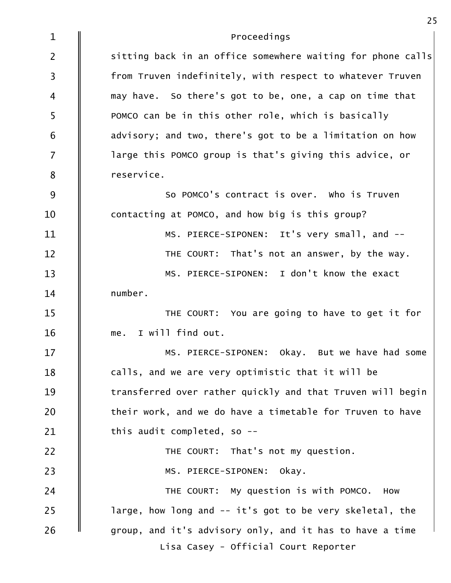| $\mathbf{1}$   | Proceedings                                                 |
|----------------|-------------------------------------------------------------|
| $\overline{2}$ | sitting back in an office somewhere waiting for phone calls |
| $\mathsf{3}$   | from Truven indefinitely, with respect to whatever Truven   |
| $\overline{4}$ | may have. So there's got to be, one, a cap on time that     |
| 5              | POMCO can be in this other role, which is basically         |
| 6              | advisory; and two, there's got to be a limitation on how    |
| $\overline{7}$ | large this POMCO group is that's giving this advice, or     |
| 8              | reservice.                                                  |
| 9              | So POMCO's contract is over. Who is Truven                  |
| 10             | contacting at POMCO, and how big is this group?             |
| 11             | MS. PIERCE-SIPONEN: It's very small, and --                 |
| 12             | THE COURT: That's not an answer, by the way.                |
| 13             | MS. PIERCE-SIPONEN: I don't know the exact                  |
| 14             | number.                                                     |
| 15             | THE COURT: You are going to have to get it for              |
| 16             | me. I will find out.                                        |
| 17             | MS. PIERCE-SIPONEN: Okay. But we have had some              |
| 18             | calls, and we are very optimistic that it will be           |
| 19             | transferred over rather quickly and that Truven will begin  |
| 20             | their work, and we do have a timetable for Truven to have   |
| 21             | this audit completed, so --                                 |
| 22             | THE COURT: That's not my question.                          |
| 23             | okay.<br>MS. PIERCE-SIPONEN:                                |
| 24             | THE COURT: My question is with POMCO.<br>How                |
| 25             | large, how long and -- it's got to be very skeletal, the    |
| 26             | group, and it's advisory only, and it has to have a time    |
|                | Lisa Casey - Official Court Reporter                        |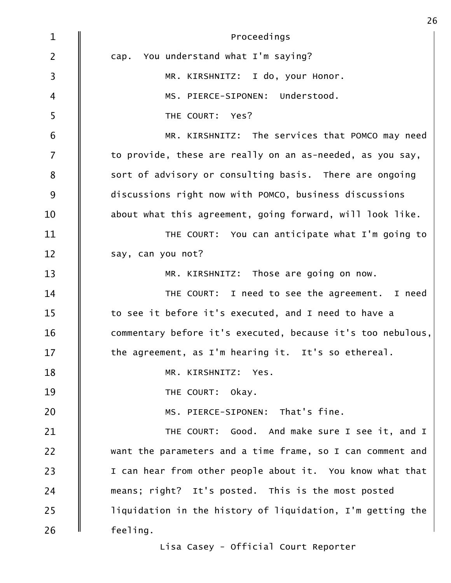| $\mathbf{1}$   | Proceedings                                                 |
|----------------|-------------------------------------------------------------|
| $\overline{2}$ | cap. You understand what I'm saying?                        |
| $\overline{3}$ | MR. KIRSHNITZ: I do, your Honor.                            |
| $\overline{4}$ | MS. PIERCE-SIPONEN: Understood.                             |
| 5              | THE COURT: Yes?                                             |
| 6              | MR. KIRSHNITZ: The services that POMCO may need             |
| $\overline{7}$ | to provide, these are really on an as-needed, as you say,   |
| 8              | sort of advisory or consulting basis. There are ongoing     |
| 9              | discussions right now with POMCO, business discussions      |
| 10             | about what this agreement, going forward, will look like.   |
| 11             | THE COURT: You can anticipate what I'm going to             |
| 12             | say, can you not?                                           |
| 13             | MR. KIRSHNITZ: Those are going on now.                      |
| 14             | THE COURT: I need to see the agreement. I need              |
| 15             | to see it before it's executed, and I need to have a        |
| 16             | commentary before it's executed, because it's too nebulous, |
| 17             | the agreement, as I'm hearing it. It's so ethereal.         |
| 18             | MR. KIRSHNITZ: Yes.                                         |
| 19             | THE COURT:<br>okay.                                         |
| 20             | MS. PIERCE-SIPONEN: That's fine.                            |
| 21             | Good. And make sure I see it, and I<br>THE COURT:           |
| 22             | want the parameters and a time frame, so I can comment and  |
| 23             | I can hear from other people about it. You know what that   |
| 24             | means; right? It's posted. This is the most posted          |
| 25             | liquidation in the history of liquidation, I'm getting the  |
| 26             | feeling.                                                    |

Lisa Casey - Official Court Reporter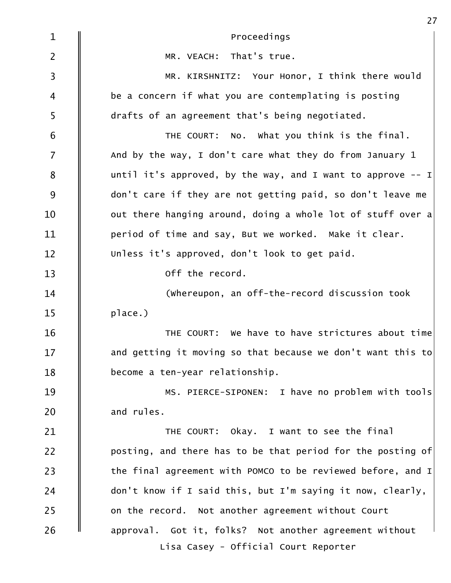| $\mathbf{1}$   | Proceedings                                                   |
|----------------|---------------------------------------------------------------|
| $\overline{2}$ | MR. VEACH: That's true.                                       |
| $\mathsf{3}$   | MR. KIRSHNITZ: Your Honor, I think there would                |
| 4              | be a concern if what you are contemplating is posting         |
| 5              | drafts of an agreement that's being negotiated.               |
| 6              | THE COURT: No. What you think is the final.                   |
| $\overline{7}$ | And by the way, I don't care what they do from January 1      |
| 8              | until it's approved, by the way, and I want to approve $-1$   |
| 9              | don't care if they are not getting paid, so don't leave me    |
| 10             | out there hanging around, doing a whole lot of stuff over a   |
| 11             | period of time and say, But we worked. Make it clear.         |
| 12             | Unless it's approved, don't look to get paid.                 |
| 13             | off the record.                                               |
| 14             | (whereupon, an off-the-record discussion took                 |
| 15             | place.)                                                       |
| 16             | THE COURT: We have to have strictures about time              |
| 17             | and getting it moving so that because we don't want this to   |
| 18             | become a ten-year relationship.                               |
| 19             | MS. PIERCE-SIPONEN: I have no problem with tools              |
| 20             | and rules.                                                    |
| 21             | THE COURT: Okay. I want to see the final                      |
| 22             | posting, and there has to be that period for the posting of   |
| 23             | the final agreement with POMCO to be reviewed before, and $I$ |
| 24             | don't know if I said this, but I'm saying it now, clearly,    |
| 25             | on the record. Not another agreement without Court            |
| 26             | approval. Got it, folks? Not another agreement without        |
|                | Lisa Casey - Official Court Reporter                          |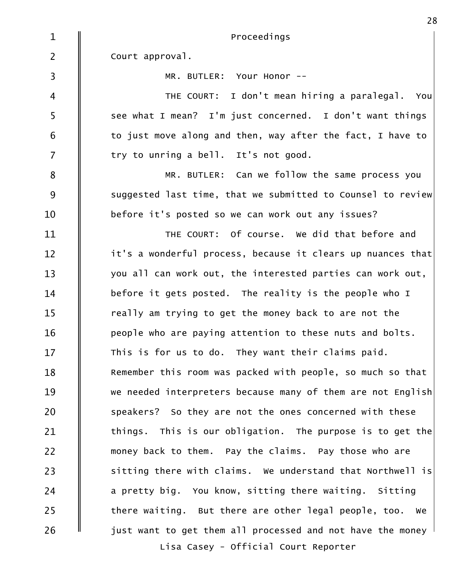| $\mathbf{1}$            | Proceedings                                                              |
|-------------------------|--------------------------------------------------------------------------|
| $\overline{2}$          | Court approval.                                                          |
| $\overline{\mathbf{3}}$ | MR. BUTLER: Your Honor --                                                |
| $\overline{4}$          | THE COURT: I don't mean hiring a paralegal. You                          |
| 5                       | see what I mean? I'm just concerned. I don't want things                 |
| 6                       | to just move along and then, way after the fact, I have to               |
| $\overline{7}$          | try to unring a bell. It's not good.                                     |
| 8                       | MR. BUTLER: Can we follow the same process you                           |
| 9                       | suggested last time, that we submitted to Counsel to review              |
| 10                      | before it's posted so we can work out any issues?                        |
| 11                      | THE COURT: Of course. We did that before and                             |
| 12                      | it's a wonderful process, because it clears up nuances that              |
| 13                      | you all can work out, the interested parties can work out,               |
| 14                      | before it gets posted. The reality is the people who I                   |
| 15                      | really am trying to get the money back to are not the                    |
| 16                      | people who are paying attention to these nuts and bolts.                 |
| 17                      | This is for us to do. They want their claims paid.                       |
| 18                      | Remember this room was packed with people, so much so that               |
| 19                      | we needed interpreters because many of them are not English              |
| 20                      | speakers? So they are not the ones concerned with these                  |
| 21                      | things. This is our obligation. The purpose is to get the                |
| 22                      | money back to them. Pay the claims. Pay those who are                    |
| 23                      | sitting there with claims. We understand that Northwell is               |
| 24                      | a pretty big. You know, sitting there waiting. Sitting                   |
| 25                      | there waiting. But there are other legal people, too. We                 |
| 26                      | just want to get them all processed and not have the money $\frac{1}{2}$ |
|                         | Lisa Casey - Official Court Reporter                                     |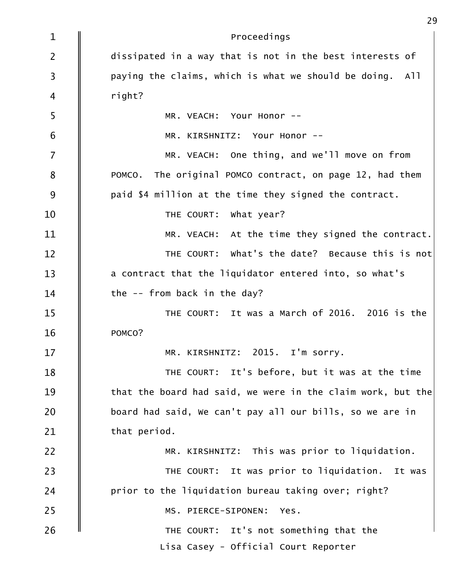| $\mathbf{1}$            | Proceedings                                                 |
|-------------------------|-------------------------------------------------------------|
| $\overline{2}$          | dissipated in a way that is not in the best interests of    |
| $\overline{\mathbf{3}}$ | paying the claims, which is what we should be doing. All    |
| $\overline{4}$          | right?                                                      |
| 5                       | MR. VEACH: Your Honor --                                    |
| 6                       | MR. KIRSHNITZ: Your Honor --                                |
| $\overline{7}$          | MR. VEACH: One thing, and we'll move on from                |
| 8                       | The original POMCO contract, on page 12, had them<br>POMCO. |
| 9                       | paid \$4 million at the time they signed the contract.      |
| 10                      | THE COURT: What year?                                       |
| 11                      | MR. VEACH: At the time they signed the contract.            |
| 12                      | THE COURT: What's the date? Because this is not             |
| 13                      | a contract that the liquidator entered into, so what's      |
| 14                      | the -- from back in the day?                                |
| 15                      | THE COURT: It was a March of 2016. 2016 is the              |
| 16                      | POMCO?                                                      |
| 17                      | MR. KIRSHNITZ: 2015. I'm sorry.                             |
| 18                      | THE COURT: It's before, but it was at the time              |
| 19                      | that the board had said, we were in the claim work, but the |
| 20                      | board had said, we can't pay all our bills, so we are in    |
| 21                      | that period.                                                |
| 22                      | MR. KIRSHNITZ: This was prior to liquidation.               |
| 23                      | THE COURT: It was prior to liquidation. It was              |
| 24                      | prior to the liquidation bureau taking over; right?         |
| 25                      | MS. PIERCE-SIPONEN:<br>Yes.                                 |
| 26                      | THE COURT: It's not something that the                      |
|                         | Lisa Casey - Official Court Reporter                        |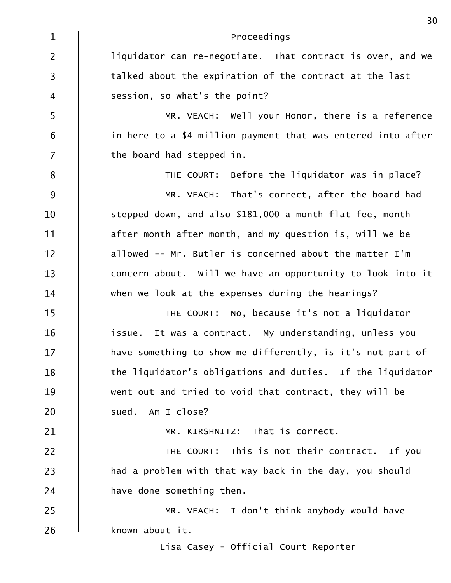| $\mathbf{1}$            | Proceedings                                                  |
|-------------------------|--------------------------------------------------------------|
| $\overline{2}$          | liquidator can re-negotiate. That contract is over, and we   |
| $\overline{\mathbf{3}}$ | talked about the expiration of the contract at the last      |
| $\overline{4}$          | session, so what's the point?                                |
| 5                       | MR. VEACH: Well your Honor, there is a reference             |
| 6                       | in here to a \$4 million payment that was entered into after |
| $\overline{7}$          | the board had stepped in.                                    |
| $\bf 8$                 | THE COURT: Before the liquidator was in place?               |
| 9                       | MR. VEACH: That's correct, after the board had               |
| 10                      | stepped down, and also \$181,000 a month flat fee, month     |
| 11                      | after month after month, and my question is, will we be      |
| 12                      | allowed -- Mr. Butler is concerned about the matter I'm      |
| 13                      | concern about. Will we have an opportunity to look into it   |
| 14                      | when we look at the expenses during the hearings?            |
| 15                      | THE COURT: No, because it's not a liquidator                 |
| 16                      | It was a contract. My understanding, unless you<br>issue.    |
| 17                      | have something to show me differently, is it's not part of   |
| 18                      | the liquidator's obligations and duties. If the liquidator   |
| 19                      | went out and tried to void that contract, they will be       |
| 20                      | sued. Am I close?                                            |
| 21                      | MR. KIRSHNITZ: That is correct.                              |
| 22                      | THE COURT: This is not their contract. If you                |
| 23                      | had a problem with that way back in the day, you should      |
| 24                      | have done something then.                                    |
| 25                      | MR. VEACH: I don't think anybody would have                  |
| 26                      | known about it.                                              |
|                         | Lisa Casey - Official Court Reporter                         |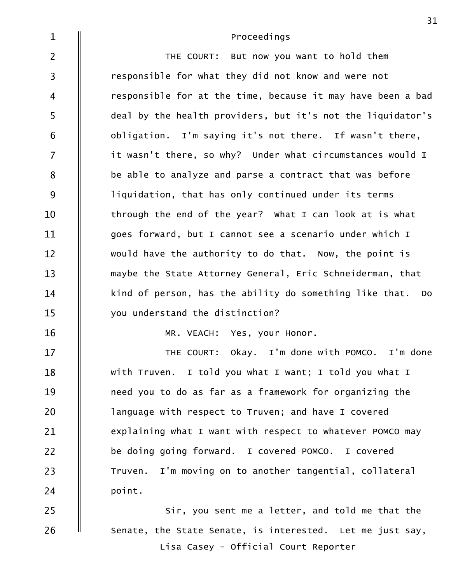| $\mathbf{1}$            | Proceedings                                                 |
|-------------------------|-------------------------------------------------------------|
| $\overline{2}$          | THE COURT: But now you want to hold them                    |
| $\overline{\mathbf{3}}$ | responsible for what they did not know and were not         |
| $\overline{4}$          | responsible for at the time, because it may have been a bad |
| 5                       | deal by the health providers, but it's not the liquidator's |
| 6                       | obligation. I'm saying it's not there. If wasn't there,     |
| $\overline{7}$          | it wasn't there, so why? Under what circumstances would I   |
| 8                       | be able to analyze and parse a contract that was before     |
| 9                       | liquidation, that has only continued under its terms        |
| 10                      | through the end of the year? What I can look at is what     |
| 11                      | goes forward, but I cannot see a scenario under which I     |
| 12                      | would have the authority to do that. Now, the point is      |
| 13                      | maybe the State Attorney General, Eric Schneiderman, that   |
| 14                      | kind of person, has the ability do something like that. Do  |
| 15                      | you understand the distinction?                             |
| 16                      | MR. VEACH: Yes, your Honor.                                 |
| 17                      | THE COURT: Okay. I'm done with POMCO. I'm done              |
| 18                      | with Truven. I told you what I want; I told you what I      |
| 19                      | need you to do as far as a framework for organizing the     |
| 20                      | language with respect to Truven; and have I covered         |
| 21                      | explaining what I want with respect to whatever POMCO may   |
| 22                      | be doing going forward. I covered POMCO. I covered          |
| 23                      | Truven. I'm moving on to another tangential, collateral     |
| 24                      | point.                                                      |
| 25                      | Sir, you sent me a letter, and told me that the             |
| 26                      | Senate, the State Senate, is interested. Let me just say,   |

Lisa Casey - Official Court Reporter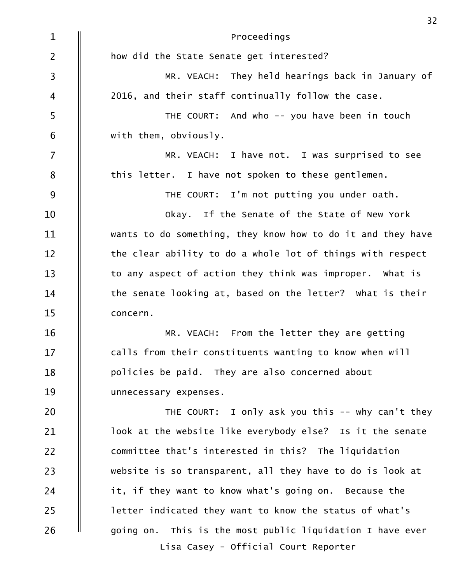| $\mathbf{1}$            | Proceedings                                                 |
|-------------------------|-------------------------------------------------------------|
| $\overline{2}$          | how did the State Senate get interested?                    |
| $\overline{\mathbf{3}}$ | MR. VEACH: They held hearings back in January of            |
| $\overline{4}$          | 2016, and their staff continually follow the case.          |
| 5                       | THE COURT: And who -- you have been in touch                |
| 6                       | with them, obviously.                                       |
| $\overline{7}$          | MR. VEACH: I have not. I was surprised to see               |
| $\bf 8$                 | this letter. I have not spoken to these gentlemen.          |
| $9$                     | THE COURT: I'm not putting you under oath.                  |
| 10                      | Okay. If the Senate of the State of New York                |
| 11                      | wants to do something, they know how to do it and they have |
| 12                      | the clear ability to do a whole lot of things with respect  |
| 13                      | to any aspect of action they think was improper. What is    |
| 14                      | the senate looking at, based on the letter? What is their   |
| 15                      | concern.                                                    |
| 16                      | MR. VEACH: From the letter they are getting                 |
| 17                      | calls from their constituents wanting to know when will     |
| 18                      | policies be paid. They are also concerned about             |
| 19                      | unnecessary expenses.                                       |
| 20                      | THE COURT: I only ask you this -- why can't they            |
| 21                      | look at the website like everybody else? Is it the senate   |
| 22                      | committee that's interested in this? The liquidation        |
| 23                      | website is so transparent, all they have to do is look at   |
| 24                      | it, if they want to know what's going on. Because the       |
| 25                      | letter indicated they want to know the status of what's     |
| 26                      | going on. This is the most public liquidation I have ever   |
|                         | Lisa Casey - Official Court Reporter                        |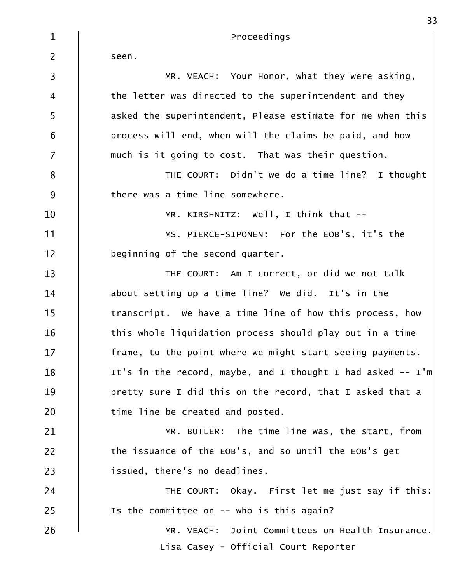| $\mathbf{1}$            | Proceedings                                                   |
|-------------------------|---------------------------------------------------------------|
| $\overline{2}$          | seen.                                                         |
| $\overline{\mathbf{3}}$ | MR. VEACH: Your Honor, what they were asking,                 |
| $\overline{4}$          | the letter was directed to the superintendent and they        |
| 5                       | asked the superintendent, Please estimate for me when this    |
| 6                       | process will end, when will the claims be paid, and how       |
| $\overline{7}$          | much is it going to cost. That was their question.            |
| 8                       | THE COURT: Didn't we do a time line? I thought                |
| 9                       | there was a time line somewhere.                              |
| 10                      | MR. KIRSHNITZ: Well, I think that --                          |
| 11                      | MS. PIERCE-SIPONEN: For the EOB's, it's the                   |
| 12                      | beginning of the second quarter.                              |
| 13                      | THE COURT: Am I correct, or did we not talk                   |
| 14                      | about setting up a time line? We did. It's in the             |
| 15                      | transcript. We have a time line of how this process, how      |
| 16                      | this whole liquidation process should play out in a time      |
| 17                      | frame, to the point where we might start seeing payments.     |
| 18                      | It's in the record, maybe, and I thought I had asked $--$ I'm |
| 19                      | pretty sure I did this on the record, that I asked that a     |
| 20                      | time line be created and posted.                              |
| 21                      | MR. BUTLER: The time line was, the start, from                |
| 22                      | the issuance of the EOB's, and so until the EOB's get         |
| 23                      | issued, there's no deadlines.                                 |
| 24                      | THE COURT: Okay. First let me just say if this:               |
| 25                      | Is the committee on $--$ who is this again?                   |
| 26                      | MR. VEACH: Joint Committees on Health Insurance.              |
|                         | Lisa Casey - Official Court Reporter                          |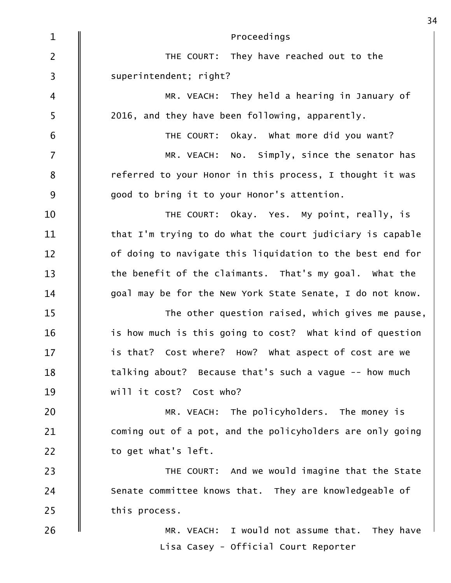| $\mathbf{1}$   | Proceedings                                               |
|----------------|-----------------------------------------------------------|
| $\overline{2}$ | THE COURT: They have reached out to the                   |
| 3              | superintendent; right?                                    |
| $\overline{4}$ | MR. VEACH: They held a hearing in January of              |
| 5              | 2016, and they have been following, apparently.           |
| 6              | THE COURT: Okay. What more did you want?                  |
| $\overline{7}$ | MR. VEACH: No. Simply, since the senator has              |
| 8              | referred to your Honor in this process, I thought it was  |
| 9              | good to bring it to your Honor's attention.               |
| 10             | THE COURT: Okay. Yes. My point, really, is                |
| 11             | that I'm trying to do what the court judiciary is capable |
| 12             | of doing to navigate this liquidation to the best end for |
| 13             | the benefit of the claimants. That's my goal. What the    |
| 14             | goal may be for the New York State Senate, I do not know. |
| 15             | The other question raised, which gives me pause,          |
| 16             | is how much is this going to cost? What kind of question  |
| 17             | is that? Cost where? How? What aspect of cost are we      |
| 18             | talking about? Because that's such a vague -- how much    |
| 19             | will it cost? Cost who?                                   |
| 20             | MR. VEACH: The policyholders. The money is                |
| 21             | coming out of a pot, and the policyholders are only going |
| 22             | to get what's left.                                       |
| 23             | THE COURT: And we would imagine that the State            |
| 24             | Senate committee knows that. They are knowledgeable of    |
| 25             | this process.                                             |
| 26             | MR. VEACH: I would not assume that. They have             |
|                | Lisa Casey - Official Court Reporter                      |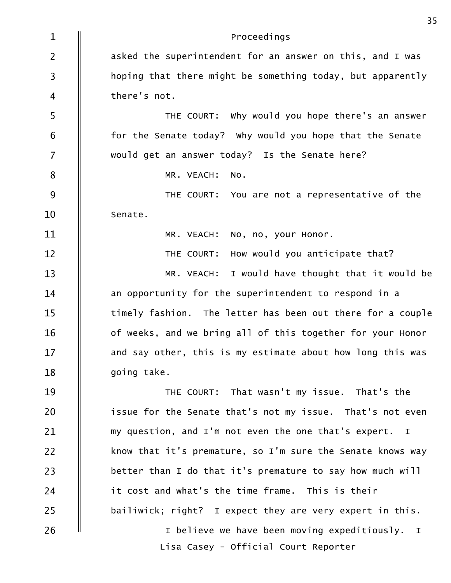| $\mathbf{1}$            | Proceedings                                                |
|-------------------------|------------------------------------------------------------|
| $\overline{2}$          | asked the superintendent for an answer on this, and I was  |
| $\overline{\mathbf{3}}$ | hoping that there might be something today, but apparently |
| $\overline{\mathbf{4}}$ | there's not.                                               |
| 5                       | THE COURT: Why would you hope there's an answer            |
| 6                       | for the Senate today? Why would you hope that the Senate   |
| $\overline{7}$          | would get an answer today? Is the Senate here?             |
| $\bf 8$                 | MR. VEACH:<br>NO.                                          |
| 9                       | THE COURT: You are not a representative of the             |
| 10                      | Senate.                                                    |
| 11                      | MR. VEACH:<br>No, no, your Honor.                          |
| 12                      | How would you anticipate that?<br>THE COURT:               |
| 13                      | I would have thought that it would be<br>MR. VEACH:        |
| 14                      | an opportunity for the superintendent to respond in a      |
| 15                      | timely fashion. The letter has been out there for a couple |
| 16                      | of weeks, and we bring all of this together for your Honor |
| 17                      | and say other, this is my estimate about how long this was |
| 18                      | going take.                                                |
| 19                      | THE COURT: That wasn't my issue. That's the                |
| 20                      | issue for the Senate that's not my issue. That's not even  |
| 21                      | my question, and I'm not even the one that's expert. I     |
| 22                      | know that it's premature, so I'm sure the Senate knows way |
| 23                      | better than I do that it's premature to say how much will  |
| 24                      | it cost and what's the time frame. This is their           |
| 25                      | bailiwick; right? I expect they are very expert in this.   |
| 26                      | I believe we have been moving expeditiously. I             |
|                         | Lisa Casey - Official Court Reporter                       |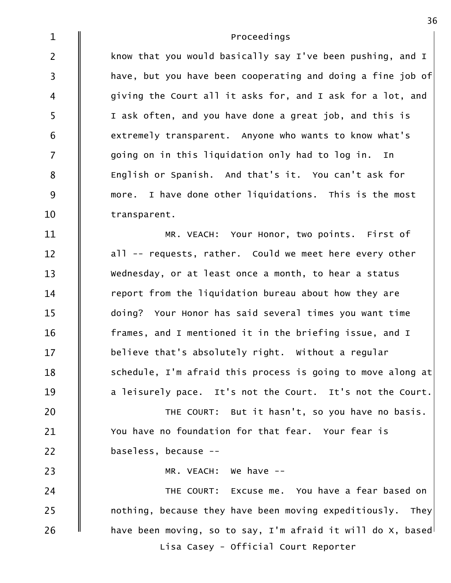| $\mathbf{1}$            | Proceedings                                                    |
|-------------------------|----------------------------------------------------------------|
| $\overline{2}$          | know that you would basically say I've been pushing, and I     |
| $\overline{\mathbf{3}}$ | have, but you have been cooperating and doing a fine job of    |
| $\overline{4}$          | giving the Court all it asks for, and I ask for a lot, and     |
| 5                       | I ask often, and you have done a great job, and this is        |
| 6                       | extremely transparent. Anyone who wants to know what's         |
| $\overline{7}$          | going on in this liquidation only had to log in. In            |
| 8                       | English or Spanish. And that's it. You can't ask for           |
| 9                       | more. I have done other liquidations. This is the most         |
| 10                      | transparent.                                                   |
| 11                      | MR. VEACH: Your Honor, two points. First of                    |
| 12                      | all -- requests, rather. Could we meet here every other        |
| 13                      | Wednesday, or at least once a month, to hear a status          |
| 14                      | report from the liquidation bureau about how they are          |
| 15                      | doing? Your Honor has said several times you want time         |
| 16                      | frames, and I mentioned it in the briefing issue, and I        |
| 17                      | believe that's absolutely right. Without a regular             |
| 18                      | schedule, I'm afraid this process is going to move along at    |
| 19                      | a leisurely pace. It's not the Court. It's not the Court.      |
| 20                      | THE COURT: But it hasn't, so you have no basis.                |
| 21                      | You have no foundation for that fear. Your fear is             |
| 22                      | baseless, because --                                           |
| 23                      | MR. VEACH: We have --                                          |
| 24                      | THE COURT: Excuse me. You have a fear based on                 |
| 25                      | nothing, because they have been moving expeditiously. They     |
| 26                      | have been moving, so to say, I'm afraid it will do $x$ , based |
|                         | Lisa Casey - Official Court Reporter                           |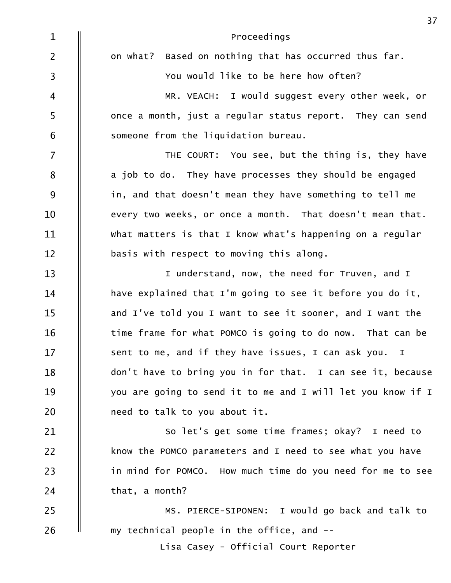| $\mathbf{1}$   | Proceedings                                                        |
|----------------|--------------------------------------------------------------------|
| $\overline{2}$ | on what? Based on nothing that has occurred thus far.              |
| $\overline{3}$ | You would like to be here how often?                               |
| 4              | MR. VEACH: I would suggest every other week, or                    |
| 5              | once a month, just a regular status report. They can send          |
| $6\,$          | someone from the liquidation bureau.                               |
| $\overline{7}$ | THE COURT: You see, but the thing is, they have                    |
| 8              | a job to do. They have processes they should be engaged            |
| 9              | in, and that doesn't mean they have something to tell me           |
| 10             | every two weeks, or once a month. That doesn't mean that.          |
| 11             | What matters is that I know what's happening on a regular          |
| 12             | basis with respect to moving this along.                           |
| 13             | I understand, now, the need for Truven, and I                      |
| 14             | have explained that I'm going to see it before you do it,          |
| 15             | and I've told you I want to see it sooner, and I want the          |
| 16             | time frame for what POMCO is going to do now. That can be          |
| 17             | sent to me, and if they have issues, I can ask you.<br>$\mathbf I$ |
| 18             | don't have to bring you in for that. I can see it, because         |
| 19             | you are going to send it to me and I will let you know if I        |
| 20             | need to talk to you about it.                                      |
| 21             | So let's get some time frames; okay? I need to                     |
| 22             | know the POMCO parameters and I need to see what you have          |
| 23             | in mind for POMCO. How much time do you need for me to see         |
| 24             | that, a month?                                                     |
| 25             | MS. PIERCE-SIPONEN: I would go back and talk to                    |
| 26             | my technical people in the office, and --                          |
|                | Lisa Casey - Official Court Reporter                               |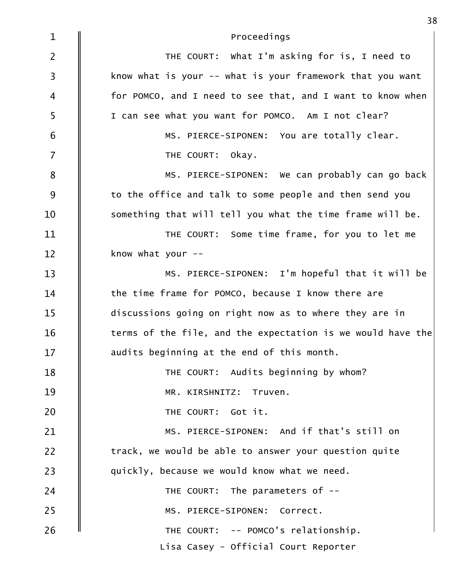| $\mathbf{1}$            | Proceedings                                                 |
|-------------------------|-------------------------------------------------------------|
| $\overline{2}$          | THE COURT: What I'm asking for is, I need to                |
| $\overline{\mathbf{3}}$ | know what is your -- what is your framework that you want   |
| 4                       | for POMCO, and I need to see that, and I want to know when  |
| 5                       | I can see what you want for POMCO. Am I not clear?          |
| 6                       | MS. PIERCE-SIPONEN: You are totally clear.                  |
| $\overline{7}$          | THE COURT:<br>okay.                                         |
| 8                       | MS. PIERCE-SIPONEN: We can probably can go back             |
| 9                       | to the office and talk to some people and then send you     |
| 10                      | something that will tell you what the time frame will be.   |
| 11                      | THE COURT: Some time frame, for you to let me               |
| 12                      | know what your $--$                                         |
| 13                      | MS. PIERCE-SIPONEN: I'm hopeful that it will be             |
| 14                      | the time frame for POMCO, because I know there are          |
| 15                      | discussions going on right now as to where they are in      |
| 16                      | terms of the file, and the expectation is we would have the |
| 17                      | audits beginning at the end of this month.                  |
| 18                      | THE COURT: Audits beginning by whom?                        |
| 19                      | MR. KIRSHNITZ: Truven.                                      |
| 20                      | THE COURT: Got it.                                          |
| 21                      | MS. PIERCE-SIPONEN: And if that's still on                  |
| 22                      | track, we would be able to answer your question quite       |
| 23                      | quickly, because we would know what we need.                |
| 24                      | THE COURT: The parameters of --                             |
| 25                      | MS. PIERCE-SIPONEN: Correct.                                |
| 26                      | THE COURT: -- POMCO's relationship.                         |
|                         | Lisa Casey - Official Court Reporter                        |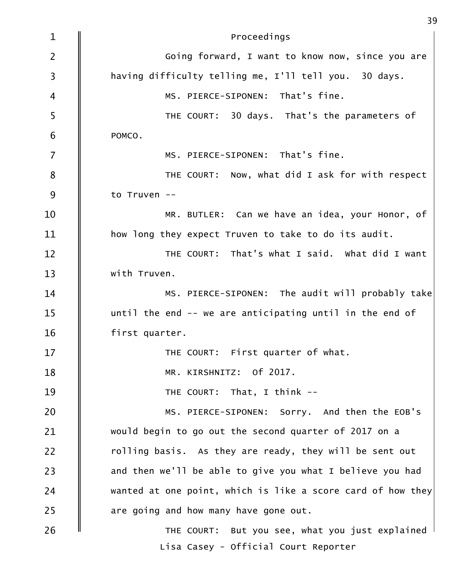| $\mathbf 1$             | Proceedings                                                 |
|-------------------------|-------------------------------------------------------------|
| $\overline{2}$          | Going forward, I want to know now, since you are            |
| $\overline{\mathbf{3}}$ | having difficulty telling me, I'll tell you. 30 days.       |
| $\overline{4}$          | MS. PIERCE-SIPONEN: That's fine.                            |
| 5                       | THE COURT: 30 days. That's the parameters of                |
| 6                       | POMCO.                                                      |
| $\overline{7}$          | MS. PIERCE-SIPONEN: That's fine.                            |
| 8                       | THE COURT: Now, what did I ask for with respect             |
| 9                       | to Truven --                                                |
| 10                      | MR. BUTLER: Can we have an idea, your Honor, of             |
| 11                      | how long they expect Truven to take to do its audit.        |
| 12                      | THE COURT: That's what I said. What did I want              |
| 13                      | with Truven.                                                |
| 14                      | MS. PIERCE-SIPONEN: The audit will probably take            |
| 15                      | until the end -- we are anticipating until in the end of    |
| 16                      | first quarter.                                              |
| 17                      | THE COURT: First quarter of what.                           |
| 18                      | MR. KIRSHNITZ: Of 2017.                                     |
| 19                      | THE COURT: That, I think --                                 |
| 20                      | MS. PIERCE-SIPONEN: Sorry. And then the EOB's               |
| 21                      | would begin to go out the second quarter of 2017 on a       |
| 22                      | rolling basis. As they are ready, they will be sent out     |
| 23                      | and then we'll be able to give you what I believe you had   |
| 24                      | wanted at one point, which is like a score card of how they |
| 25                      | are going and how many have gone out.                       |
| 26                      | THE COURT: But you see, what you just explained             |
|                         | Lisa Casey - Official Court Reporter                        |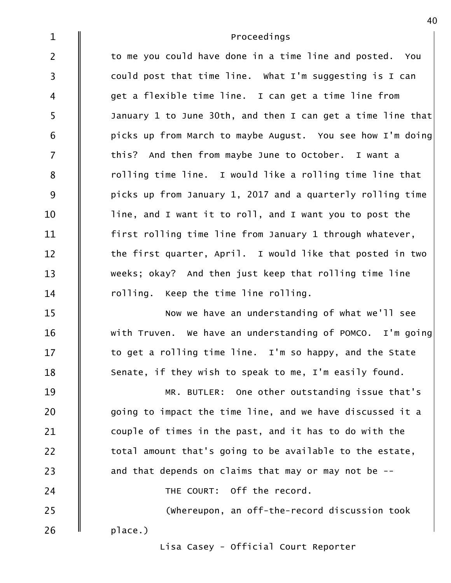| $\mathbf{1}$            | Proceedings                                                 |
|-------------------------|-------------------------------------------------------------|
| $\overline{2}$          | to me you could have done in a time line and posted. You    |
| $\overline{\mathbf{3}}$ | could post that time line. What I'm suggesting is I can     |
| $\overline{4}$          | get a flexible time line. I can get a time line from        |
| 5                       | January 1 to June 30th, and then I can get a time line that |
| $\boldsymbol{6}$        | picks up from March to maybe August. You see how I'm doing  |
| $\overline{7}$          | this? And then from maybe June to October. I want a         |
| 8                       | rolling time line. I would like a rolling time line that    |
| 9                       | picks up from January 1, 2017 and a quarterly rolling time  |
| 10                      | line, and I want it to roll, and I want you to post the     |
| 11                      | first rolling time line from January 1 through whatever,    |
| 12                      | the first quarter, April. I would like that posted in two   |
| 13                      | weeks; okay? And then just keep that rolling time line      |
| 14                      | rolling. Keep the time line rolling.                        |
| 15                      | Now we have an understanding of what we'll see              |
| 16                      | with Truven. We have an understanding of POMCO. I'm going   |
| 17                      | to get a rolling time line. I'm so happy, and the State     |
| 18                      | Senate, if they wish to speak to me, I'm easily found.      |
| 19                      | MR. BUTLER: One other outstanding issue that's              |
| 20                      | going to impact the time line, and we have discussed it a   |
| 21                      | couple of times in the past, and it has to do with the      |
| 22                      | total amount that's going to be available to the estate,    |
| 23                      | and that depends on claims that may or may not be --        |
| 24                      | THE COURT: Off the record.                                  |
| 25                      | (whereupon, an off-the-record discussion took               |
| 26                      | place.)                                                     |
|                         | Lisa Casey - Official Court Penorter                        |

Lisa Casey - Official Court Reporter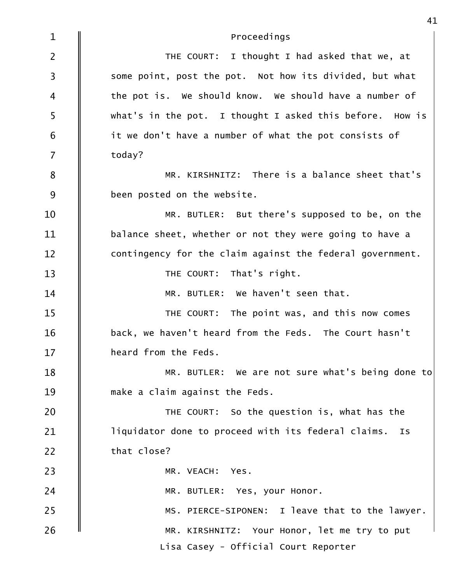| $\mathbf 1$    | Proceedings                                               |
|----------------|-----------------------------------------------------------|
| $\overline{2}$ | THE COURT: I thought I had asked that we, at              |
| $\overline{3}$ | some point, post the pot. Not how its divided, but what   |
| 4              | the pot is. We should know. We should have a number of    |
| 5              | what's in the pot. I thought I asked this before. How is  |
| 6              | it we don't have a number of what the pot consists of     |
| $\overline{7}$ | today?                                                    |
| 8              | MR. KIRSHNITZ: There is a balance sheet that's            |
| 9              | been posted on the website.                               |
| 10             | MR. BUTLER: But there's supposed to be, on the            |
| 11             | balance sheet, whether or not they were going to have a   |
| 12             | contingency for the claim against the federal government. |
| 13             | THE COURT: That's right.                                  |
| 14             | MR. BUTLER: We haven't seen that.                         |
| 15             | THE COURT: The point was, and this now comes              |
| 16             | back, we haven't heard from the Feds. The Court hasn't    |
| 17             | heard from the Feds.                                      |
| 18             | MR. BUTLER: We are not sure what's being done to          |
| 19             | make a claim against the Feds.                            |
| 20             | THE COURT: So the question is, what has the               |
| 21             | liquidator done to proceed with its federal claims. Is    |
| 22             | that close?                                               |
| 23             | MR. VEACH: Yes.                                           |
| 24             | MR. BUTLER: Yes, your Honor.                              |
| 25             | MS. PIERCE-SIPONEN: I leave that to the lawyer.           |
| 26             | MR. KIRSHNITZ: Your Honor, let me try to put              |
|                | Lisa Casey - Official Court Reporter                      |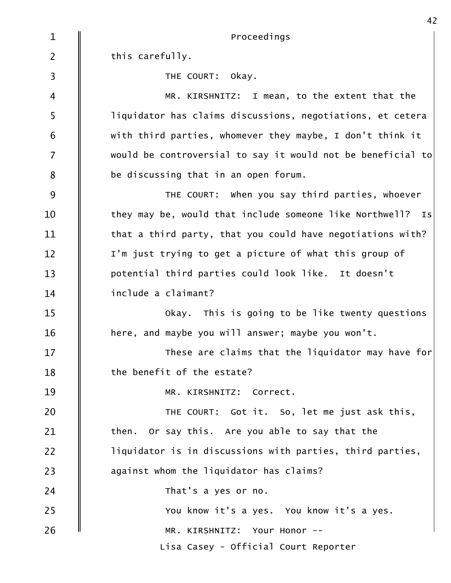MR. KIRSHNITZ: Your Honor -- You know it's a yes. You know it's a yes. **Confluence Probe Probe That's a yes or no.** 23  $\parallel$  against whom the liquidator has claims?  $\parallel$  liquidator is in discussions with parties, third parties,  $\parallel$  then. Or say this. Are you able to say that the 20  $\parallel$  THE COURT: Got it. So, let me just ask this, MR. KIRSHNITZ: Correct.  $\parallel$  the benefit of the estate?  $\parallel$  These are claims that the liquidator may have for  $\mid$   $\parallel$  here, and maybe you will answer; maybe you won't. Okay. This is going to be like twenty questions 14  $\parallel$  include a claimant? potential third parties could look like. It doesn't  $\parallel$  I'm just trying to get a picture of what this group of  $\parallel$  that a third party, that you could have negotiations with?  $\parallel$  they may be, would that include someone like Northwell? Is THE COURT: When you say third parties, whoever  $8 \quad \parallel \quad$  be discussing that in an open forum.  $7 \quad \parallel \quad$  would be controversial to say it would not be beneficial to $\mid$  $\begin{array}{|l|} \hline 6 & \phantom{.} \| \phantom{.} \end{array}$  with third parties, whomever they maybe, I don't think it  $\mathsf{S} \quad \| \qquad \mathsf{liquidator}$  has claims discussions, negotiations, et cetera MR. KIRSHNITZ: I mean, to the extent that the **S** THE COURT: Okay. 2  $\parallel$  this carefully.  $1 \parallel$ Proceedings Lisa Casey - Official Court Reporter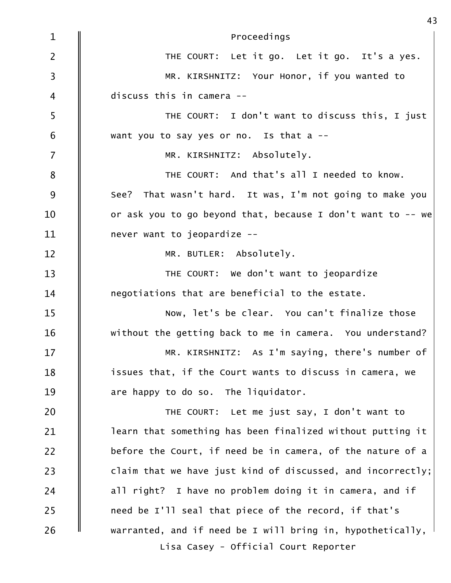| $\mathbf{1}$            | Proceedings                                                 |
|-------------------------|-------------------------------------------------------------|
| $\overline{2}$          | THE COURT: Let it go. Let it go. It's a yes.                |
| $\overline{\mathbf{3}}$ | MR. KIRSHNITZ: Your Honor, if you wanted to                 |
| $\overline{4}$          | discuss this in camera --                                   |
| 5                       | THE COURT: I don't want to discuss this, I just             |
| $6\,$                   | want you to say yes or no. Is that a --                     |
| $\overline{7}$          | MR. KIRSHNITZ: Absolutely.                                  |
| $\bf 8$                 | THE COURT: And that's all I needed to know.                 |
| $9$                     | See? That wasn't hard. It was, I'm not going to make you    |
| 10                      | or ask you to go beyond that, because I don't want to -- we |
| 11                      | never want to jeopardize --                                 |
| 12                      | MR. BUTLER: Absolutely.                                     |
| 13                      | THE COURT: We don't want to jeopardize                      |
| 14                      | negotiations that are beneficial to the estate.             |
| 15                      | Now, let's be clear. You can't finalize those               |
| 16                      | without the getting back to me in camera. You understand?   |
| 17                      | MR. KIRSHNITZ: As I'm saying, there's number of             |
| 18                      | issues that, if the Court wants to discuss in camera, we    |
| 19                      | are happy to do so. The liquidator.                         |
| 20                      | THE COURT: Let me just say, I don't want to                 |
| 21                      | learn that something has been finalized without putting it  |
| 22                      | before the Court, if need be in camera, of the nature of a  |
| 23                      | claim that we have just kind of discussed, and incorrectly; |
| 24                      | all right? I have no problem doing it in camera, and if     |
| 25                      | need be I'll seal that piece of the record, if that's       |
| 26                      | warranted, and if need be I will bring in, hypothetically,  |
|                         | Lisa Casey - Official Court Reporter                        |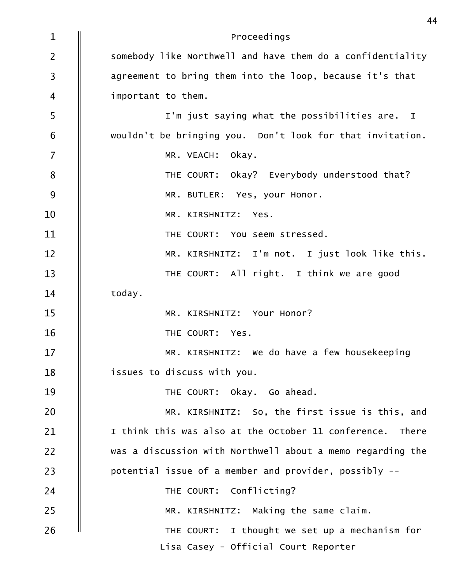| $\mathbf{1}$   | Proceedings                                                |
|----------------|------------------------------------------------------------|
| $\overline{2}$ | somebody like Northwell and have them do a confidentiality |
| 3              | agreement to bring them into the loop, because it's that   |
| 4              | important to them.                                         |
| 5              | I'm just saying what the possibilities are. I              |
| 6              | wouldn't be bringing you. Don't look for that invitation.  |
| $\overline{7}$ | MR. VEACH:<br>okay.                                        |
| 8              | THE COURT: Okay? Everybody understood that?                |
| 9              | MR. BUTLER: Yes, your Honor.                               |
| 10             | MR. KIRSHNITZ: Yes.                                        |
| 11             | THE COURT: You seem stressed.                              |
| 12             | MR. KIRSHNITZ: I'm not. I just look like this.             |
| 13             | THE COURT: All right. I think we are good                  |
| 14             | today.                                                     |
| 15             | MR. KIRSHNITZ: Your Honor?                                 |
| 16             | THE COURT: Yes.                                            |
| 17             | MR. KIRSHNITZ: We do have a few housekeeping               |
| 18             | issues to discuss with you.                                |
| 19             | THE COURT: Okay. Go ahead.                                 |
| 20             | MR. KIRSHNITZ: So, the first issue is this, and            |
| 21             | I think this was also at the October 11 conference. There  |
| 22             | was a discussion with Northwell about a memo regarding the |
| 23             | potential issue of a member and provider, possibly --      |
| 24             | THE COURT: Conflicting?                                    |
| 25             | MR. KIRSHNITZ: Making the same claim.                      |
| 26             | THE COURT: I thought we set up a mechanism for             |
|                | Lisa Casey - Official Court Reporter                       |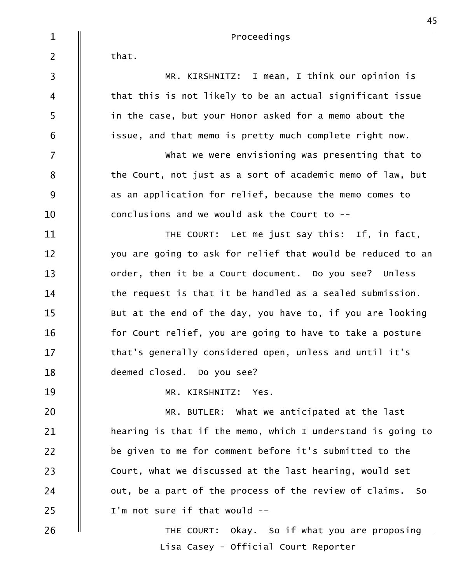26 U COURT: Okay. So if what you are proposing  $25$   $\parallel$  I'm not sure if that would -- $24$   $\parallel$  out, be a part of the process of the review of claims. So  $23$   $\parallel$  Court, what we discussed at the last hearing, would set 22  $\parallel$  be given to me for comment before it's submitted to the  $21$   $\parallel$  hearing is that if the memo, which I understand is going to $\mid$  $20$   $\parallel$  MR. BUTLER: What we anticipated at the last MR. KIRSHNITZ: Yes. 19 deemed closed. Do you see? 18  $17$   $\parallel$  that's generally considered open, unless and until it's  $16$   $\parallel$  for Court relief, you are going to have to take a posture  $15$   $\parallel$  But at the end of the day, you have to, if you are looking  $14$   $\parallel$  the request is that it be handled as a sealed submission. 13  $\parallel$  order, then it be a Court document. Do you see? Unless  $12$  | you are going to ask for relief that would be reduced to an|  $11$   $\parallel$  THE COURT: Let me just say this: If, in fact,  $10$   $\parallel$  conclusions and we would ask the Court to -- $9 \quad \parallel \quad$  as an application for relief, because the memo comes to  $8\qquad \parallel$  the Court, not just as a sort of academic memo of law, but  $7 \quad \parallel \quad \qquad$  what we were envisioning was presenting that to  $\begin{array}{|l|} \hline 6 & \multicolumn{1}{|l}{\parallel} & \multicolumn{1}{|l}{\exists} \text{ s} \text{ such}} \end{array}$  issue, and that memo is pretty much complete right now.  $\mathsf{5}$   $\parallel$  in the case, but your Honor asked for a memo about the  $\begin{array}{|l|}4 & \hspace{14.5pt} & \hspace{14.5pt} & \hspace{14.5pt} & \hspace{14.5pt} & \hspace{14.5pt} & \hspace{14.5pt} & \hspace{14.5pt} & \hspace{14.5pt} & \hspace{14.5pt} & \hspace{14.5pt} & \hspace{14.5pt} & \hspace{14.5pt} & \hspace{14.5pt} & \hspace{14.5pt} & \hspace{14.5pt} & \hspace{14.5pt} & \hspace{14.5pt} & \hspace{14.5pt} & \hspace{14.5pt} &$ MR. KIRSHNITZ: I mean, I think our opinion is 3  $2 \parallel$  that.  $1 \parallel$ Proceedings Lisa Casey - Official Court Reporter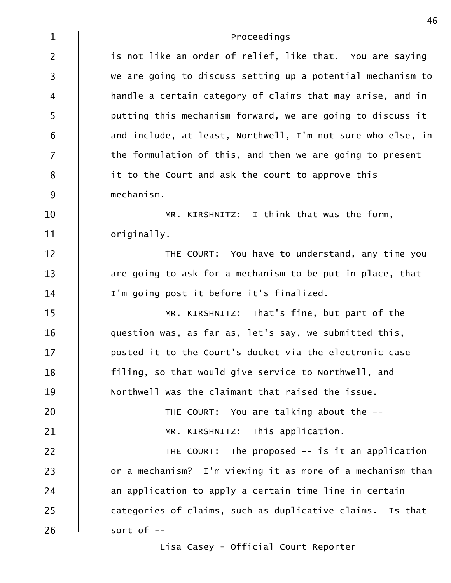| $\mathbf{1}$            | Proceedings                                                   |
|-------------------------|---------------------------------------------------------------|
| $\overline{2}$          | is not like an order of relief, like that. You are saying     |
| $\overline{\mathbf{3}}$ | we are going to discuss setting up a potential mechanism to   |
| 4                       | handle a certain category of claims that may arise, and in    |
| 5                       | putting this mechanism forward, we are going to discuss it    |
| 6                       | and include, at least, Northwell, $I'm$ not sure who else, in |
| $\overline{7}$          | the formulation of this, and then we are going to present     |
| 8                       | it to the Court and ask the court to approve this             |
| 9                       | mechanism.                                                    |
| 10                      | MR. KIRSHNITZ: I think that was the form,                     |
| 11                      | originally.                                                   |
| 12                      | THE COURT: You have to understand, any time you               |
| 13                      | are going to ask for a mechanism to be put in place, that     |
| 14                      | I'm going post it before it's finalized.                      |
| 15                      | MR. KIRSHNITZ: That's fine, but part of the                   |
| 16                      | question was, as far as, let's say, we submitted this,        |
| 17                      | posted it to the Court's docket via the electronic case       |
| 18                      | filing, so that would give service to Northwell, and          |
| 19                      | Northwell was the claimant that raised the issue.             |
| 20                      | THE COURT: You are talking about the --                       |
| 21                      | MR. KIRSHNITZ: This application.                              |
| 22                      | THE COURT: The proposed $-$ is it an application              |
| 23                      | or a mechanism? I'm viewing it as more of a mechanism than    |
| 24                      | an application to apply a certain time line in certain        |
| 25                      | categories of claims, such as duplicative claims. Is that     |
| 26                      | sort of --                                                    |

Lisa Casey - Official Court Reporter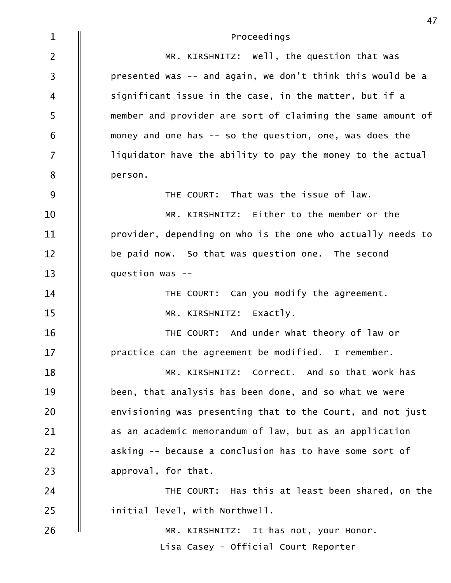| $\mathbf{1}$            | Proceedings                                                 |
|-------------------------|-------------------------------------------------------------|
| $\overline{2}$          | MR. KIRSHNITZ: Well, the question that was                  |
| $\overline{\mathbf{3}}$ | presented was -- and again, we don't think this would be a  |
| 4                       | significant issue in the case, in the matter, but if a      |
| 5                       | member and provider are sort of claiming the same amount of |
| 6                       | money and one has -- so the question, one, was does the     |
| $\overline{7}$          | liquidator have the ability to pay the money to the actual  |
| 8                       | person.                                                     |
| 9                       | THE COURT: That was the issue of law.                       |
| 10                      | MR. KIRSHNITZ: Either to the member or the                  |
| 11                      | provider, depending on who is the one who actually needs to |
| 12                      | be paid now. So that was question one. The second           |
| 13                      | question was --                                             |
| 14                      | THE COURT: Can you modify the agreement.                    |
| 15                      | MR. KIRSHNITZ: Exactly.                                     |
| 16                      | THE COURT: And under what theory of law or                  |
| 17                      | practice can the agreement be modified. I remember.         |
| 18                      | MR. KIRSHNITZ: Correct. And so that work has                |
| 19                      | been, that analysis has been done, and so what we were      |
| 20                      | envisioning was presenting that to the Court, and not just  |
| 21                      | as an academic memorandum of law, but as an application     |
| 22                      | asking -- because a conclusion has to have some sort of     |
| 23                      | approval, for that.                                         |
| 24                      | THE COURT: Has this at least been shared, on the            |
| 25                      | initial level, with Northwell.                              |
| 26                      | MR. KIRSHNITZ: It has not, your Honor.                      |
|                         | Lisa Casey - Official Court Reporter                        |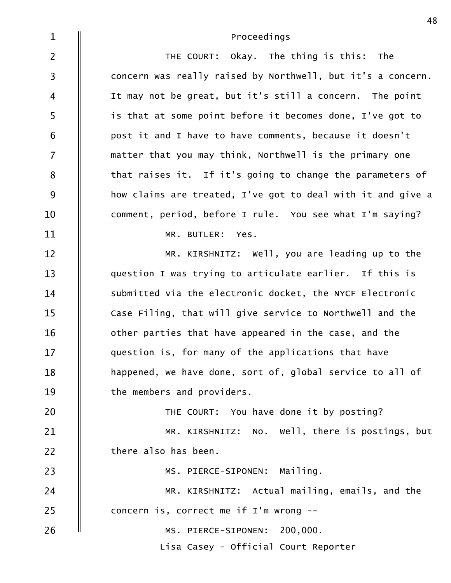| $\mathbf{1}$            | Proceedings                                                 |
|-------------------------|-------------------------------------------------------------|
| $\overline{2}$          | THE COURT: Okay. The thing is this: The                     |
| $\overline{\mathbf{3}}$ | concern was really raised by Northwell, but it's a concern. |
| $\overline{4}$          | It may not be great, but it's still a concern. The point    |
| 5                       | is that at some point before it becomes done, I've got to   |
| $6\,$                   | post it and I have to have comments, because it doesn't     |
| $\overline{7}$          | matter that you may think, Northwell is the primary one     |
| 8                       | that raises it. If it's going to change the parameters of   |
| 9                       | how claims are treated, I've got to deal with it and give a |
| 10                      | comment, period, before I rule. You see what I'm saying?    |
| 11                      | MR. BUTLER: Yes.                                            |
| 12                      | MR. KIRSHNITZ: Well, you are leading up to the              |
| 13                      | question I was trying to articulate earlier. If this is     |
| 14                      | submitted via the electronic docket, the NYCF Electronic    |
| 15                      | Case Filing, that will give service to Northwell and the    |
| 16                      | other parties that have appeared in the case, and the       |
| 17                      | question is, for many of the applications that have         |
| 18                      | happened, we have done, sort of, global service to all of   |
| 19                      | the members and providers.                                  |
| 20                      | THE COURT: You have done it by posting?                     |
| 21                      | MR. KIRSHNITZ: No. Well, there is postings, but             |
| 22                      | there also has been.                                        |
| 23                      | MS. PIERCE-SIPONEN: Mailing.                                |
| 24                      | MR. KIRSHNITZ: Actual mailing, emails, and the              |
| 25                      | concern is, correct me if I'm wrong --                      |
| 26                      | MS. PIERCE-SIPONEN: 200,000.                                |
|                         | Lisa Casey - Official Court Reporter                        |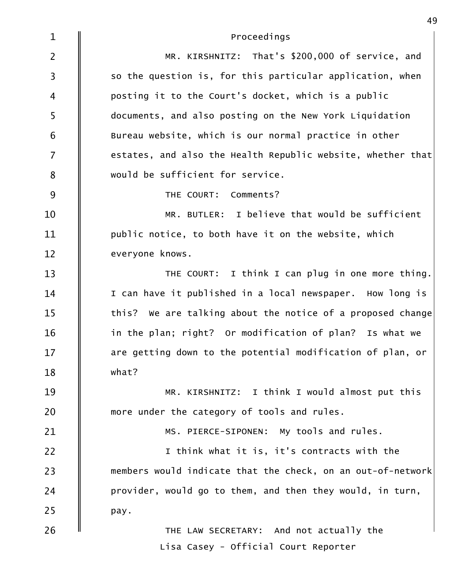| $\mathbf{1}$   | Proceedings                                                 |
|----------------|-------------------------------------------------------------|
| $\overline{2}$ | MR. KIRSHNITZ: That's \$200,000 of service, and             |
| $\overline{3}$ | so the question is, for this particular application, when   |
| $\overline{4}$ | posting it to the Court's docket, which is a public         |
| 5              | documents, and also posting on the New York Liquidation     |
| 6              | Bureau website, which is our normal practice in other       |
| $\overline{7}$ | estates, and also the Health Republic website, whether that |
| 8              | would be sufficient for service.                            |
| 9              | THE COURT: Comments?                                        |
| 10             | MR. BUTLER: I believe that would be sufficient              |
| 11             | public notice, to both have it on the website, which        |
| 12             | everyone knows.                                             |
| 13             | THE COURT: I think I can plug in one more thing.            |
| 14             | I can have it published in a local newspaper. How long is   |
| 15             | this? We are talking about the notice of a proposed change  |
| 16             | in the plan; right? Or modification of plan? Is what we     |
| 17             | are getting down to the potential modification of plan, or  |
| 18             | what?                                                       |
| 19             | MR. KIRSHNITZ: I think I would almost put this              |
| 20             | more under the category of tools and rules.                 |
| 21             | MS. PIERCE-SIPONEN: My tools and rules.                     |
| 22             | I think what it is, it's contracts with the                 |
| 23             | members would indicate that the check, on an out-of-network |
| 24             | provider, would go to them, and then they would, in turn,   |
| 25             | pay.                                                        |
| 26             | THE LAW SECRETARY: And not actually the                     |
|                | Lisa Casey - Official Court Reporter                        |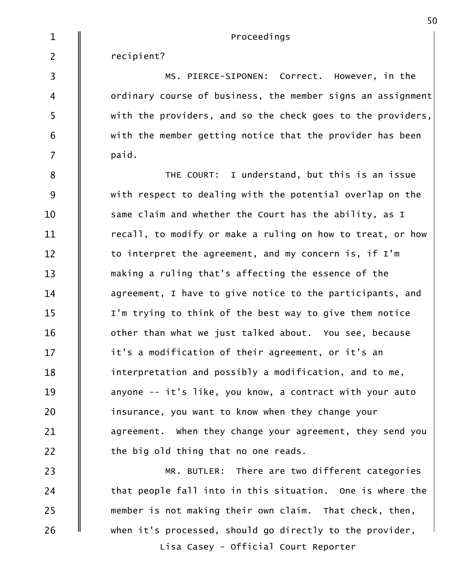$1 \parallel$ 

Proceedings

recipient? 2

7 || paid.  $\begin{matrix} 6 &| \end{matrix}$  with the member getting notice that the provider has been  $\begin{array}{|l|} \hline 5 \quad \ \ \, \parallel \qquad \quad \text{with the providers, and so the check goes to the providers,} \end{array}$  $\begin{array}{c} 4 \end{array}$  ordinary course of business, the member signs an assignment $\vert$ MS. PIERCE-SIPONEN: Correct. However, in the 3

 $22 \t\t \parallel$  the big old thing that no one reads.  $\parallel$  agreement. When they change your agreement, they send you  $\parallel$  insurance, you want to know when they change your  $\parallel$  anyone -- it's like, you know, a contract with your auto  $\parallel$  interpretation and possibly a modification, and to me, it's a modification of their agreement, or it's an 17  $\parallel$  other than what we just talked about. You see, because  $\parallel$  I'm trying to think of the best way to give them notice  $\parallel$  agreement, I have to give notice to the participants, and  $\parallel$  making a ruling that's affecting the essence of the  $\parallel$  to interpret the agreement, and my concern is, if I'm  $\parallel$  recall, to modify or make a ruling on how to treat, or how  $\parallel$  same claim and whether the Court has the ability, as I  $\parallel$  with respect to dealing with the potential overlap on the I understand, but this is an issue 8 || THE COURT:

 $26$   $\parallel$  when it's processed, should go directly to the provider, member is not making their own claim. That check, then, 25  $24$   $\parallel$  that people fall into in this situation. One is where the 23  $\parallel$  MR. BUTLER: There are two different categories Lisa Casey - Official Court Reporter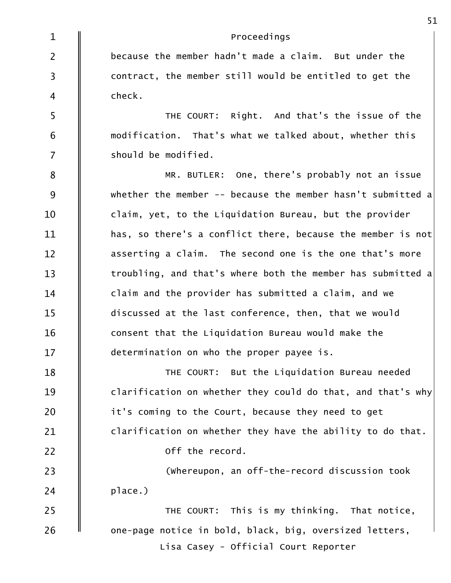| $\mathbf{1}$   | Proceedings                                                 |
|----------------|-------------------------------------------------------------|
| $\overline{2}$ | because the member hadn't made a claim. But under the       |
| $\overline{3}$ | contract, the member still would be entitled to get the     |
| $\overline{4}$ | check.                                                      |
| 5              | THE COURT: Right. And that's the issue of the               |
| 6              | modification. That's what we talked about, whether this     |
| $\overline{7}$ | should be modified.                                         |
| $\bf 8$        | MR. BUTLER: One, there's probably not an issue              |
| 9              | whether the member -- because the member hasn't submitted a |
| 10             | claim, yet, to the Liquidation Bureau, but the provider     |
| 11             | has, so there's a conflict there, because the member is not |
| 12             | asserting a claim. The second one is the one that's more    |
| 13             | troubling, and that's where both the member has submitted a |
| 14             | claim and the provider has submitted a claim, and we        |
| 15             | discussed at the last conference, then, that we would       |
| 16             | consent that the Liquidation Bureau would make the          |
| 17             | determination on who the proper payee is.                   |
| 18             | THE COURT: But the Liquidation Bureau needed                |
| 19             | clarification on whether they could do that, and that's why |
| 20             | it's coming to the Court, because they need to get          |
| 21             | clarification on whether they have the ability to do that.  |
| 22             | off the record.                                             |
| 23             | (whereupon, an off-the-record discussion took               |
| 24             | place.)                                                     |
| 25             | THE COURT: This is my thinking. That notice,                |
| 26             | one-page notice in bold, black, big, oversized letters,     |
|                | Lisa Casey - Official Court Reporter                        |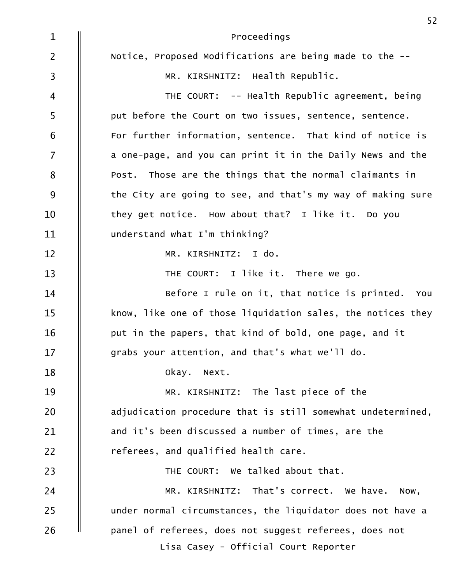| $\mathbf{1}$   | Proceedings                                                 |
|----------------|-------------------------------------------------------------|
| $\overline{2}$ | Notice, Proposed Modifications are being made to the --     |
| $\overline{3}$ | MR. KIRSHNITZ: Health Republic.                             |
| $\overline{4}$ | THE COURT: -- Health Republic agreement, being              |
| 5              | put before the Court on two issues, sentence, sentence.     |
| 6              | For further information, sentence. That kind of notice is   |
| $\overline{7}$ | a one-page, and you can print it in the Daily News and the  |
| 8              | Post. Those are the things that the normal claimants in     |
| 9              | the City are going to see, and that's my way of making sure |
| 10             | they get notice. How about that? I like it. Do you          |
| 11             | understand what I'm thinking?                               |
| 12             | MR. KIRSHNITZ: I do.                                        |
| 13             | THE COURT: I like it. There we go.                          |
| 14             | Before I rule on it, that notice is printed. You            |
| 15             | know, like one of those liquidation sales, the notices they |
| 16             | put in the papers, that kind of bold, one page, and it      |
| 17             | grabs your attention, and that's what we'll do.             |
| 18             | Okay. Next.                                                 |
| 19             | MR. KIRSHNITZ: The last piece of the                        |
| 20             | adjudication procedure that is still somewhat undetermined, |
| 21             | and it's been discussed a number of times, are the          |
| 22             | referees, and qualified health care.                        |
| 23             | THE COURT: We talked about that.                            |
| 24             | MR. KIRSHNITZ: That's correct. We have. Now,                |
| 25             | under normal circumstances, the liquidator does not have a  |
| 26             | panel of referees, does not suggest referees, does not      |
|                | Lisa Casey - Official Court Reporter                        |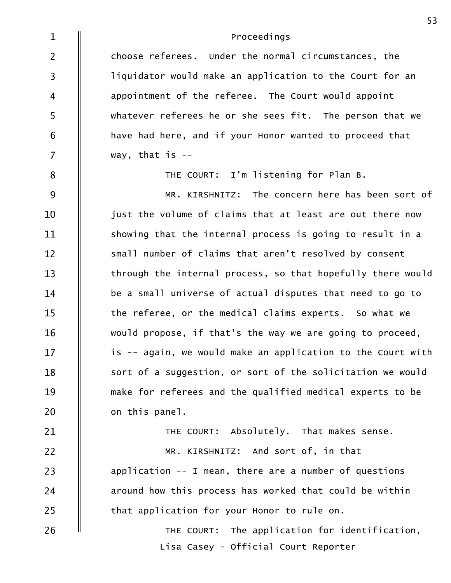| $\mathbf{1}$   | Proceedings                                                 |
|----------------|-------------------------------------------------------------|
| $\overline{2}$ | choose referees. Under the normal circumstances, the        |
| $\overline{3}$ | liquidator would make an application to the Court for an    |
| $\overline{4}$ | appointment of the referee. The Court would appoint         |
| 5              | whatever referees he or she sees fit. The person that we    |
| 6              | have had here, and if your Honor wanted to proceed that     |
| $\overline{7}$ | way, that is $-$                                            |
| $\bf 8$        | THE COURT: I'm listening for Plan B.                        |
| 9              | MR. KIRSHNITZ: The concern here has been sort of            |
| 10             | just the volume of claims that at least are out there now   |
| 11             | showing that the internal process is going to result in a   |
| 12             | small number of claims that aren't resolved by consent      |
| 13             | through the internal process, so that hopefully there would |
| 14             | be a small universe of actual disputes that need to go to   |
| 15             | the referee, or the medical claims experts. So what we      |
| 16             | would propose, if that's the way we are going to proceed,   |
| 17             | is -- again, we would make an application to the Court with |
| 18             | sort of a suggestion, or sort of the solicitation we would  |
| 19             | make for referees and the qualified medical experts to be   |
| 20             | on this panel.                                              |
| 21             | THE COURT: Absolutely. That makes sense.                    |
| 22             | MR. KIRSHNITZ: And sort of, in that                         |
| 23             | application -- I mean, there are a number of questions      |
| 24             | around how this process has worked that could be within     |
| 25             | that application for your Honor to rule on.                 |
| 26             | THE COURT: The application for identification,              |
|                | Lisa Casey - Official Court Reporter                        |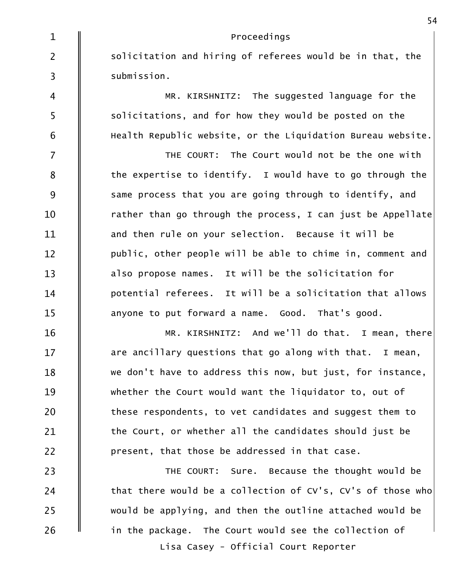| $\mathbf{1}$            | Proceedings                                                 |
|-------------------------|-------------------------------------------------------------|
| $\overline{2}$          | solicitation and hiring of referees would be in that, the   |
| $\overline{\mathbf{3}}$ | submission.                                                 |
| 4                       | MR. KIRSHNITZ: The suggested language for the               |
| 5                       | solicitations, and for how they would be posted on the      |
| 6                       | Health Republic website, or the Liquidation Bureau website. |
| $\overline{7}$          | THE COURT: The Court would not be the one with              |
| 8                       | the expertise to identify. I would have to go through the   |
| 9                       | same process that you are going through to identify, and    |
| 10                      | rather than go through the process, I can just be Appellate |
| 11                      | and then rule on your selection. Because it will be         |
| 12                      | public, other people will be able to chime in, comment and  |
| 13                      | also propose names. It will be the solicitation for         |
| 14                      | potential referees. It will be a solicitation that allows   |
| 15                      | anyone to put forward a name. Good. That's good.            |
| 16                      | MR. KIRSHNITZ: And we'll do that. I mean, there             |
| 17                      | are ancillary questions that go along with that. I mean,    |
| 18                      | we don't have to address this now, but just, for instance,  |
| 19                      | whether the Court would want the liquidator to, out of      |
| 20                      | these respondents, to vet candidates and suggest them to    |
| 21                      | the Court, or whether all the candidates should just be     |
| 22                      | present, that those be addressed in that case.              |
| 23                      | THE COURT: Sure. Because the thought would be               |
| 24                      | that there would be a collection of CV's, CV's of those who |
| 25                      | would be applying, and then the outline attached would be   |
| 26                      | in the package. The Court would see the collection of       |
|                         | Lisa Casey - Official Court Reporter                        |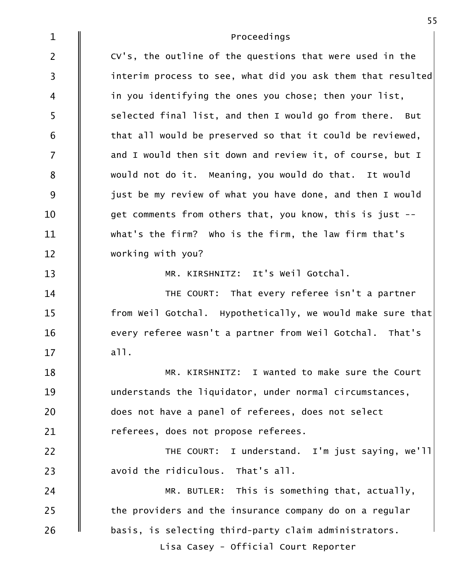| $\mathbf{1}$   | Proceedings                                                 |
|----------------|-------------------------------------------------------------|
| $\overline{2}$ | CV's, the outline of the questions that were used in the    |
| $\overline{3}$ | interim process to see, what did you ask them that resulted |
| 4              | in you identifying the ones you chose; then your list,      |
| 5              | selected final list, and then I would go from there. But    |
| $\sqrt{6}$     | that all would be preserved so that it could be reviewed,   |
| $\overline{7}$ | and I would then sit down and review it, of course, but I   |
| 8              | would not do it. Meaning, you would do that. It would       |
| 9              | just be my review of what you have done, and then I would   |
| 10             | get comments from others that, you know, this is just --    |
| 11             | what's the firm? Who is the firm, the law firm that's       |
| 12             | working with you?                                           |
| 13             | MR. KIRSHNITZ: It's Weil Gotchal.                           |
| 14             | THE COURT: That every referee isn't a partner               |
| 15             | from Weil Gotchal. Hypothetically, we would make sure that  |
| 16             | every referee wasn't a partner from Weil Gotchal. That's    |
| 17             | a11.                                                        |
| 18             | MR. KIRSHNITZ: I wanted to make sure the Court              |
| 19             | understands the liquidator, under normal circumstances,     |
| 20             | does not have a panel of referees, does not select          |
| 21             | referees, does not propose referees.                        |
| 22             | THE COURT: I understand. I'm just saying, we'll             |
| 23             | avoid the ridiculous. That's all.                           |
| 24             | MR. BUTLER: This is something that, actually,               |
| 25             | the providers and the insurance company do on a regular     |
| 26             | basis, is selecting third-party claim administrators.       |
|                | Lisa Casey - Official Court Reporter                        |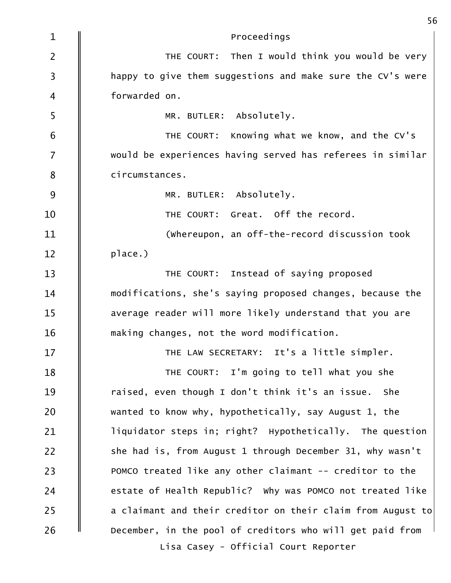| $\mathbf{1}$   | Proceedings                                                 |
|----------------|-------------------------------------------------------------|
| $\overline{2}$ | THE COURT: Then I would think you would be very             |
| $\overline{3}$ | happy to give them suggestions and make sure the CV's were  |
| $\overline{4}$ | forwarded on.                                               |
| 5              | MR. BUTLER: Absolutely.                                     |
| 6              | THE COURT: Knowing what we know, and the CV's               |
| $\overline{7}$ | would be experiences having served has referees in similar  |
| 8              | circumstances.                                              |
| 9              | MR. BUTLER: Absolutely.                                     |
| 10             | THE COURT: Great. Off the record.                           |
| 11             | (whereupon, an off-the-record discussion took               |
| 12             | place.)                                                     |
| 13             | THE COURT: Instead of saying proposed                       |
| 14             | modifications, she's saying proposed changes, because the   |
| 15             | average reader will more likely understand that you are     |
| 16             | making changes, not the word modification.                  |
| 17             | THE LAW SECRETARY: It's a little simpler.                   |
| 18             | THE COURT: I'm going to tell what you she                   |
| 19             | raised, even though I don't think it's an issue. She        |
| 20             | wanted to know why, hypothetically, say August 1, the       |
| 21             | liquidator steps in; right? Hypothetically. The question    |
| 22             | she had is, from August 1 through December 31, why wasn't   |
| 23             | POMCO treated like any other claimant -- creditor to the    |
| 24             | estate of Health Republic? Why was POMCO not treated like   |
| 25             | a claimant and their creditor on their claim from August to |
| 26             | December, in the pool of creditors who will get paid from   |
|                | Lisa Casey - Official Court Reporter                        |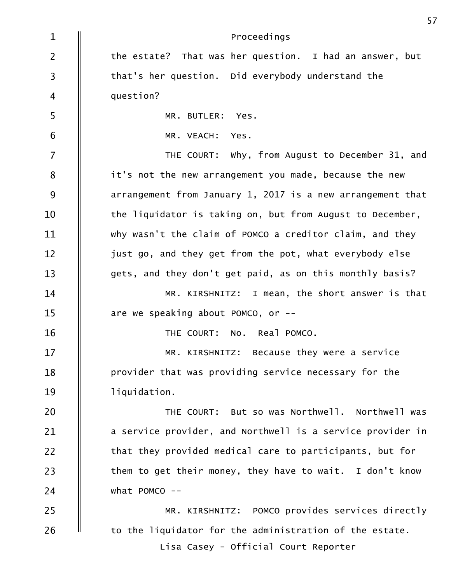| $\mathbf{1}$   | Proceedings                                                |
|----------------|------------------------------------------------------------|
| $\overline{2}$ | the estate? That was her question. I had an answer, but    |
| 3              | that's her question. Did everybody understand the          |
| $\overline{4}$ | question?                                                  |
| 5              | MR. BUTLER: Yes.                                           |
| 6              | MR. VEACH: Yes.                                            |
| $\overline{7}$ | THE COURT: Why, from August to December 31, and            |
| 8              | it's not the new arrangement you made, because the new     |
| 9              | arrangement from January 1, 2017 is a new arrangement that |
| 10             | the liquidator is taking on, but from August to December,  |
| 11             | why wasn't the claim of POMCO a creditor claim, and they   |
| 12             | just go, and they get from the pot, what everybody else    |
| 13             | gets, and they don't get paid, as on this monthly basis?   |
| 14             | MR. KIRSHNITZ: I mean, the short answer is that            |
| 15             | are we speaking about POMCO, or $-$ -                      |
| 16             | THE COURT: No. Real POMCO.                                 |
| 17             | MR. KIRSHNITZ: Because they were a service                 |
| 18             | provider that was providing service necessary for the      |
| 19             | liquidation.                                               |
| 20             | THE COURT: But so was Northwell. Northwell was             |
| 21             | a service provider, and Northwell is a service provider in |
| 22             | that they provided medical care to participants, but for   |
| 23             | them to get their money, they have to wait. I don't know   |
| 24             | what POMCO $-$                                             |
| 25             | MR. KIRSHNITZ: POMCO provides services directly            |
| 26             | to the liquidator for the administration of the estate.    |
|                | Lisa Casey - Official Court Reporter                       |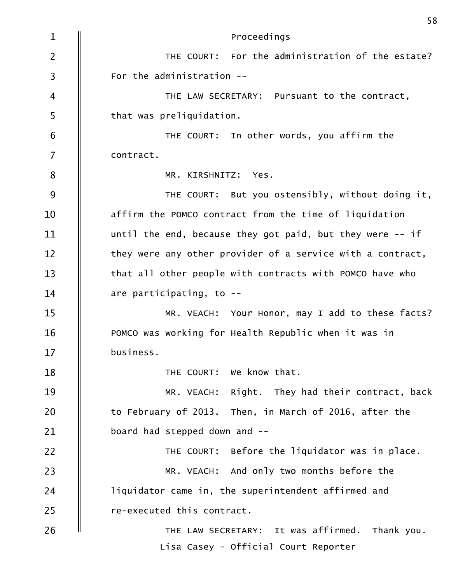| $\mathbf{1}$   | Proceedings                                                |
|----------------|------------------------------------------------------------|
| $\overline{2}$ | THE COURT: For the administration of the estate?           |
| 3              | For the administration --                                  |
| $\overline{4}$ | THE LAW SECRETARY: Pursuant to the contract,               |
| 5              | that was preliquidation.                                   |
| 6              | THE COURT: In other words, you affirm the                  |
| $\overline{7}$ | contract.                                                  |
| 8              | MR. KIRSHNITZ: Yes.                                        |
| 9              | THE COURT: But you ostensibly, without doing it,           |
| 10             | affirm the POMCO contract from the time of liquidation     |
| 11             | until the end, because they got paid, but they were $-$ if |
| 12             | they were any other provider of a service with a contract, |
| 13             | that all other people with contracts with POMCO have who   |
| 14             | are participating, to $-$ -                                |
| 15             | MR. VEACH: Your Honor, may I add to these facts?           |
| 16             | POMCO was working for Health Republic when it was in       |
| 17             | business.                                                  |
| 18             | THE COURT: We know that.                                   |
| 19             | MR. VEACH: Right. They had their contract, back            |
| 20             | to February of 2013. Then, in March of 2016, after the     |
| 21             | board had stepped down and --                              |
| 22             | THE COURT: Before the liquidator was in place.             |
| 23             | MR. VEACH: And only two months before the                  |
| 24             | liquidator came in, the superintendent affirmed and        |
| 25             | re-executed this contract.                                 |
| 26             | THE LAW SECRETARY: It was affirmed.<br>Thank you.          |
|                | Lisa Casey - Official Court Reporter                       |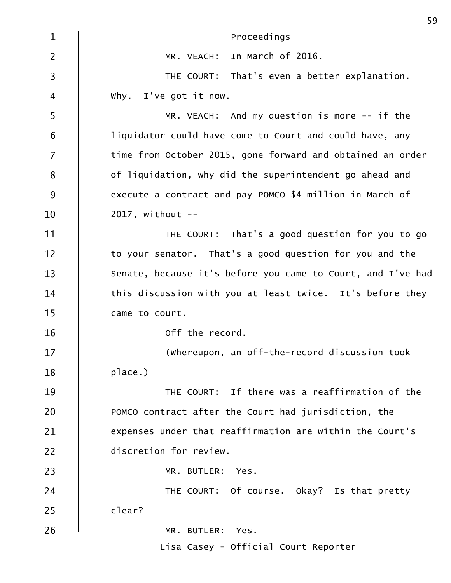| $\mathbf{1}$   | Proceedings                                                 |
|----------------|-------------------------------------------------------------|
| $\overline{2}$ | In March of 2016.<br>MR. VEACH:                             |
| $\overline{3}$ | THE COURT: That's even a better explanation.                |
| $\overline{4}$ | why. I've got it now.                                       |
| 5              | MR. VEACH: And my question is more $-$ if the               |
| $\sqrt{6}$     | liquidator could have come to Court and could have, any     |
| $\overline{7}$ | time from October 2015, gone forward and obtained an order  |
| 8              | of liquidation, why did the superintendent go ahead and     |
| 9              | execute a contract and pay POMCO \$4 million in March of    |
| 10             | $2017$ , without --                                         |
| 11             | THE COURT: That's a good question for you to go             |
| 12             | to your senator. That's a good question for you and the     |
| 13             | Senate, because it's before you came to Court, and I've had |
| 14             | this discussion with you at least twice. It's before they   |
| 15             | came to court.                                              |
| 16             | off the record.                                             |
| 17             | (whereupon, an off-the-record discussion took               |
| 18             | place.)                                                     |
| 19             | THE COURT: If there was a reaffirmation of the              |
| 20             | POMCO contract after the Court had jurisdiction, the        |
| 21             | expenses under that reaffirmation are within the Court's    |
| 22             | discretion for review.                                      |
| 23             | MR. BUTLER: Yes.                                            |
| 24             | THE COURT: Of course. Okay? Is that pretty                  |
| 25             | clear?                                                      |
| 26             | MR. BUTLER: Yes.                                            |
|                | Lisa Casey - Official Court Reporter                        |